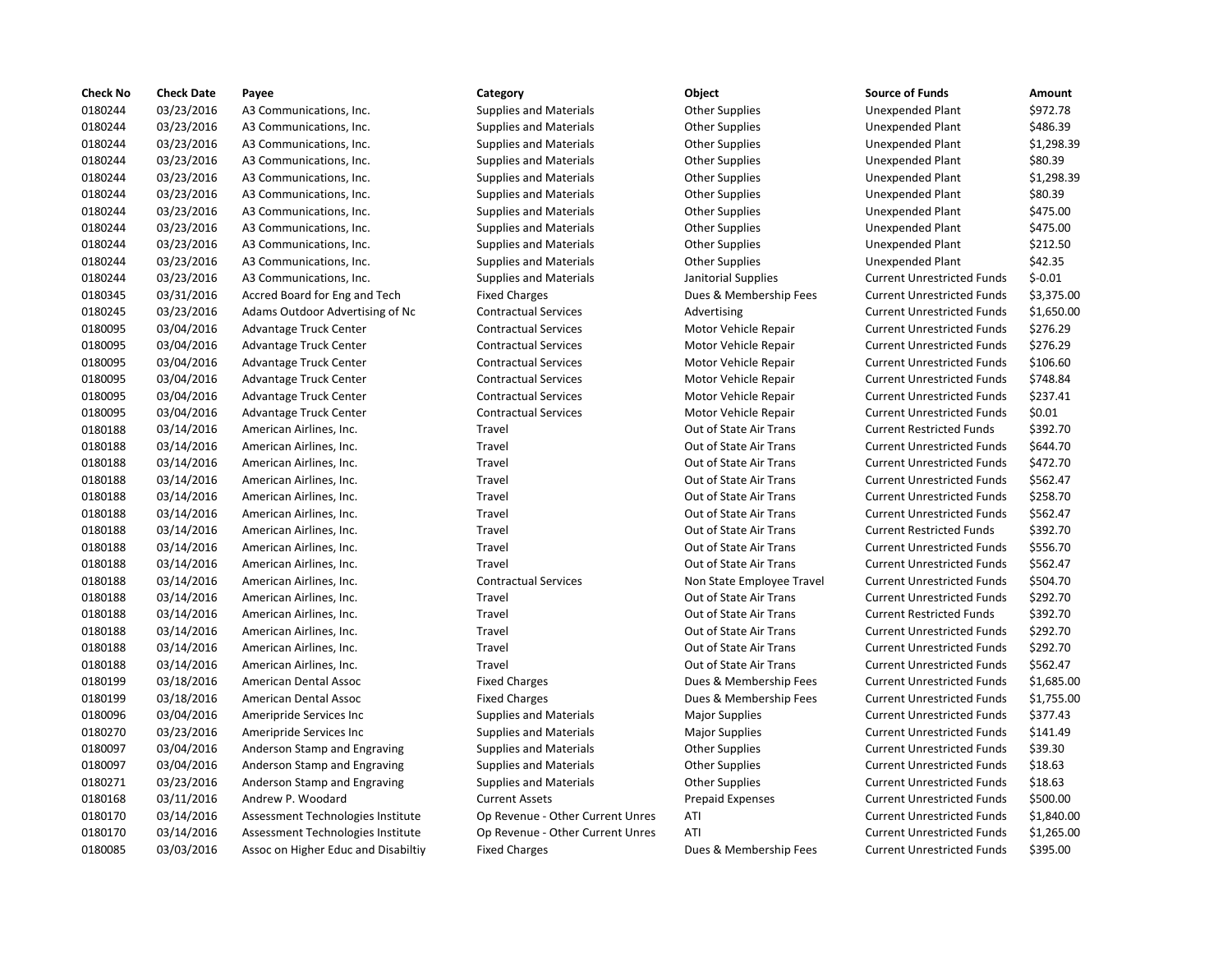| <b>Check No</b> | <b>Check Date</b> | Payee                               | Category                         | <b>Object</b>             | <b>Source of Funds</b>            | Amount     |
|-----------------|-------------------|-------------------------------------|----------------------------------|---------------------------|-----------------------------------|------------|
| 0180244         | 03/23/2016        | A3 Communications, Inc.             | <b>Supplies and Materials</b>    | <b>Other Supplies</b>     | Unexpended Plant                  | \$972.78   |
| 0180244         | 03/23/2016        | A3 Communications, Inc.             | <b>Supplies and Materials</b>    | <b>Other Supplies</b>     | Unexpended Plant                  | \$486.39   |
| 0180244         | 03/23/2016        | A3 Communications, Inc.             | <b>Supplies and Materials</b>    | <b>Other Supplies</b>     | Unexpended Plant                  | \$1,298.39 |
| 0180244         | 03/23/2016        | A3 Communications, Inc.             | <b>Supplies and Materials</b>    | <b>Other Supplies</b>     | Unexpended Plant                  | \$80.39    |
| 0180244         | 03/23/2016        | A3 Communications, Inc.             | <b>Supplies and Materials</b>    | <b>Other Supplies</b>     | Unexpended Plant                  | \$1,298.39 |
| 0180244         | 03/23/2016        | A3 Communications, Inc.             | <b>Supplies and Materials</b>    | <b>Other Supplies</b>     | Unexpended Plant                  | \$80.39    |
| 0180244         | 03/23/2016        | A3 Communications, Inc.             | <b>Supplies and Materials</b>    | <b>Other Supplies</b>     | <b>Unexpended Plant</b>           | \$475.00   |
| 0180244         | 03/23/2016        | A3 Communications, Inc.             | <b>Supplies and Materials</b>    | <b>Other Supplies</b>     | Unexpended Plant                  | \$475.00   |
| 0180244         | 03/23/2016        | A3 Communications, Inc.             | <b>Supplies and Materials</b>    | <b>Other Supplies</b>     | Unexpended Plant                  | \$212.50   |
| 0180244         | 03/23/2016        | A3 Communications, Inc.             | <b>Supplies and Materials</b>    | <b>Other Supplies</b>     | <b>Unexpended Plant</b>           | \$42.35    |
| 0180244         | 03/23/2016        | A3 Communications, Inc.             | <b>Supplies and Materials</b>    | Janitorial Supplies       | <b>Current Unrestricted Funds</b> | $$-0.01$   |
| 0180345         | 03/31/2016        | Accred Board for Eng and Tech       | <b>Fixed Charges</b>             | Dues & Membership Fees    | <b>Current Unrestricted Funds</b> | \$3,375.00 |
| 0180245         | 03/23/2016        | Adams Outdoor Advertising of Nc     | <b>Contractual Services</b>      | Advertising               | <b>Current Unrestricted Funds</b> | \$1,650.00 |
| 0180095         | 03/04/2016        | Advantage Truck Center              | <b>Contractual Services</b>      | Motor Vehicle Repair      | <b>Current Unrestricted Funds</b> | \$276.29   |
| 0180095         | 03/04/2016        | Advantage Truck Center              | <b>Contractual Services</b>      | Motor Vehicle Repair      | <b>Current Unrestricted Funds</b> | \$276.29   |
| 0180095         | 03/04/2016        | Advantage Truck Center              | <b>Contractual Services</b>      | Motor Vehicle Repair      | <b>Current Unrestricted Funds</b> | \$106.60   |
| 0180095         | 03/04/2016        | Advantage Truck Center              | <b>Contractual Services</b>      | Motor Vehicle Repair      | <b>Current Unrestricted Funds</b> | \$748.84   |
| 0180095         | 03/04/2016        | Advantage Truck Center              | <b>Contractual Services</b>      | Motor Vehicle Repair      | <b>Current Unrestricted Funds</b> | \$237.41   |
| 0180095         | 03/04/2016        | Advantage Truck Center              | <b>Contractual Services</b>      | Motor Vehicle Repair      | <b>Current Unrestricted Funds</b> | \$0.01     |
| 0180188         | 03/14/2016        | American Airlines, Inc.             | Travel                           | Out of State Air Trans    | <b>Current Restricted Funds</b>   | \$392.70   |
| 0180188         | 03/14/2016        | American Airlines, Inc.             | Travel                           | Out of State Air Trans    | <b>Current Unrestricted Funds</b> | \$644.70   |
| 0180188         | 03/14/2016        | American Airlines, Inc.             | Travel                           | Out of State Air Trans    | <b>Current Unrestricted Funds</b> | \$472.70   |
| 0180188         | 03/14/2016        | American Airlines, Inc.             | Travel                           | Out of State Air Trans    | <b>Current Unrestricted Funds</b> | \$562.47   |
| 0180188         | 03/14/2016        | American Airlines, Inc.             | Travel                           | Out of State Air Trans    | <b>Current Unrestricted Funds</b> | \$258.70   |
| 0180188         | 03/14/2016        | American Airlines, Inc.             | Travel                           | Out of State Air Trans    | <b>Current Unrestricted Funds</b> | \$562.47   |
| 0180188         | 03/14/2016        | American Airlines, Inc.             | Travel                           | Out of State Air Trans    | <b>Current Restricted Funds</b>   | \$392.70   |
| 0180188         | 03/14/2016        | American Airlines, Inc.             | Travel                           | Out of State Air Trans    | <b>Current Unrestricted Funds</b> | \$556.70   |
| 0180188         | 03/14/2016        | American Airlines, Inc.             | Travel                           | Out of State Air Trans    | <b>Current Unrestricted Funds</b> | \$562.47   |
| 0180188         | 03/14/2016        | American Airlines, Inc.             | <b>Contractual Services</b>      | Non State Employee Travel | <b>Current Unrestricted Funds</b> | \$504.70   |
| 0180188         | 03/14/2016        | American Airlines, Inc.             | Travel                           | Out of State Air Trans    | <b>Current Unrestricted Funds</b> | \$292.70   |
| 0180188         | 03/14/2016        | American Airlines, Inc.             | Travel                           | Out of State Air Trans    | <b>Current Restricted Funds</b>   | \$392.70   |
| 0180188         | 03/14/2016        | American Airlines, Inc.             | Travel                           | Out of State Air Trans    | <b>Current Unrestricted Funds</b> | \$292.70   |
| 0180188         | 03/14/2016        | American Airlines, Inc.             | Travel                           | Out of State Air Trans    | <b>Current Unrestricted Funds</b> | \$292.70   |
| 0180188         | 03/14/2016        | American Airlines, Inc.             | Travel                           | Out of State Air Trans    | <b>Current Unrestricted Funds</b> | \$562.47   |
| 0180199         | 03/18/2016        | American Dental Assoc               | <b>Fixed Charges</b>             | Dues & Membership Fees    | <b>Current Unrestricted Funds</b> | \$1,685.00 |
| 0180199         | 03/18/2016        | American Dental Assoc               | <b>Fixed Charges</b>             | Dues & Membership Fees    | <b>Current Unrestricted Funds</b> | \$1,755.00 |
| 0180096         | 03/04/2016        | Ameripride Services Inc.            | <b>Supplies and Materials</b>    | <b>Major Supplies</b>     | <b>Current Unrestricted Funds</b> | \$377.43   |
| 0180270         | 03/23/2016        | Ameripride Services Inc             | <b>Supplies and Materials</b>    | <b>Major Supplies</b>     | <b>Current Unrestricted Funds</b> | \$141.49   |
| 0180097         | 03/04/2016        | Anderson Stamp and Engraving        | <b>Supplies and Materials</b>    | <b>Other Supplies</b>     | <b>Current Unrestricted Funds</b> | \$39.30    |
| 0180097         | 03/04/2016        |                                     | <b>Supplies and Materials</b>    | <b>Other Supplies</b>     | <b>Current Unrestricted Funds</b> | \$18.63    |
|                 |                   | Anderson Stamp and Engraving        |                                  |                           |                                   |            |
| 0180271         | 03/23/2016        | Anderson Stamp and Engraving        | <b>Supplies and Materials</b>    | <b>Other Supplies</b>     | <b>Current Unrestricted Funds</b> | \$18.63    |
| 0180168         | 03/11/2016        | Andrew P. Woodard                   | <b>Current Assets</b>            | <b>Prepaid Expenses</b>   | <b>Current Unrestricted Funds</b> | \$500.00   |
| 0180170         | 03/14/2016        | Assessment Technologies Institute   | Op Revenue - Other Current Unres | ATI                       | <b>Current Unrestricted Funds</b> | \$1,840.00 |
| 0180170         | 03/14/2016        | Assessment Technologies Institute   | Op Revenue - Other Current Unres | ATI                       | <b>Current Unrestricted Funds</b> | \$1,265.00 |
| 0180085         | 03/03/2016        | Assoc on Higher Educ and Disabiltiy | <b>Fixed Charges</b>             | Dues & Membership Fees    | <b>Current Unrestricted Funds</b> | \$395.00   |

|        | Category                         | Object                    | <b>Source of Funds</b>            | Amount     |
|--------|----------------------------------|---------------------------|-----------------------------------|------------|
|        | <b>Supplies and Materials</b>    | <b>Other Supplies</b>     | <b>Unexpended Plant</b>           | \$972.78   |
|        | <b>Supplies and Materials</b>    | <b>Other Supplies</b>     | <b>Unexpended Plant</b>           | \$486.39   |
|        | <b>Supplies and Materials</b>    | <b>Other Supplies</b>     | Unexpended Plant                  | \$1,298.39 |
|        | <b>Supplies and Materials</b>    | <b>Other Supplies</b>     | <b>Unexpended Plant</b>           | \$80.39    |
|        | <b>Supplies and Materials</b>    | <b>Other Supplies</b>     | <b>Unexpended Plant</b>           | \$1,298.39 |
|        | <b>Supplies and Materials</b>    | <b>Other Supplies</b>     | <b>Unexpended Plant</b>           | \$80.39    |
|        | <b>Supplies and Materials</b>    | <b>Other Supplies</b>     | <b>Unexpended Plant</b>           | \$475.00   |
|        | <b>Supplies and Materials</b>    | <b>Other Supplies</b>     | <b>Unexpended Plant</b>           | \$475.00   |
|        | <b>Supplies and Materials</b>    | <b>Other Supplies</b>     | <b>Unexpended Plant</b>           | \$212.50   |
|        | <b>Supplies and Materials</b>    | <b>Other Supplies</b>     | <b>Unexpended Plant</b>           | \$42.35    |
|        | <b>Supplies and Materials</b>    | Janitorial Supplies       | <b>Current Unrestricted Funds</b> | $$-0.01$   |
|        | <b>Fixed Charges</b>             | Dues & Membership Fees    | <b>Current Unrestricted Funds</b> | \$3,375.00 |
| Ιc     | <b>Contractual Services</b>      | Advertising               | <b>Current Unrestricted Funds</b> | \$1,650.00 |
|        | <b>Contractual Services</b>      | Motor Vehicle Repair      | <b>Current Unrestricted Funds</b> | \$276.29   |
|        | <b>Contractual Services</b>      | Motor Vehicle Repair      | <b>Current Unrestricted Funds</b> | \$276.29   |
|        | <b>Contractual Services</b>      | Motor Vehicle Repair      | <b>Current Unrestricted Funds</b> | \$106.60   |
|        | <b>Contractual Services</b>      | Motor Vehicle Repair      | <b>Current Unrestricted Funds</b> | \$748.84   |
|        | <b>Contractual Services</b>      | Motor Vehicle Repair      | <b>Current Unrestricted Funds</b> | \$237.41   |
|        | <b>Contractual Services</b>      | Motor Vehicle Repair      | <b>Current Unrestricted Funds</b> | \$0.01     |
|        | Travel                           | Out of State Air Trans    | <b>Current Restricted Funds</b>   | \$392.70   |
|        | Travel                           | Out of State Air Trans    | <b>Current Unrestricted Funds</b> | \$644.70   |
|        | Travel                           | Out of State Air Trans    | <b>Current Unrestricted Funds</b> | \$472.70   |
|        | Travel                           | Out of State Air Trans    | <b>Current Unrestricted Funds</b> | \$562.47   |
|        | Travel                           | Out of State Air Trans    | <b>Current Unrestricted Funds</b> | \$258.70   |
|        | Travel                           | Out of State Air Trans    | <b>Current Unrestricted Funds</b> | \$562.47   |
|        | Travel                           | Out of State Air Trans    | <b>Current Restricted Funds</b>   | \$392.70   |
|        | Travel                           | Out of State Air Trans    | <b>Current Unrestricted Funds</b> | \$556.70   |
|        | Travel                           | Out of State Air Trans    | <b>Current Unrestricted Funds</b> | \$562.47   |
|        | <b>Contractual Services</b>      | Non State Employee Travel | <b>Current Unrestricted Funds</b> | \$504.70   |
|        | Travel                           | Out of State Air Trans    | <b>Current Unrestricted Funds</b> | \$292.70   |
|        | Travel                           | Out of State Air Trans    | <b>Current Restricted Funds</b>   | \$392.70   |
|        | Travel                           | Out of State Air Trans    | <b>Current Unrestricted Funds</b> | \$292.70   |
|        | <b>Travel</b>                    | Out of State Air Trans    | <b>Current Unrestricted Funds</b> | \$292.70   |
|        | Travel                           | Out of State Air Trans    | <b>Current Unrestricted Funds</b> | \$562.47   |
|        | <b>Fixed Charges</b>             | Dues & Membership Fees    | <b>Current Unrestricted Funds</b> | \$1,685.00 |
|        | <b>Fixed Charges</b>             | Dues & Membership Fees    | <b>Current Unrestricted Funds</b> | \$1,755.00 |
|        | <b>Supplies and Materials</b>    | <b>Major Supplies</b>     | <b>Current Unrestricted Funds</b> | \$377.43   |
|        | <b>Supplies and Materials</b>    | Major Supplies            | <b>Current Unrestricted Funds</b> | \$141.49   |
|        | <b>Supplies and Materials</b>    | <b>Other Supplies</b>     | <b>Current Unrestricted Funds</b> | \$39.30    |
|        | <b>Supplies and Materials</b>    | <b>Other Supplies</b>     | <b>Current Unrestricted Funds</b> | \$18.63    |
|        | <b>Supplies and Materials</b>    | <b>Other Supplies</b>     | <b>Current Unrestricted Funds</b> | \$18.63    |
|        | <b>Current Assets</b>            | <b>Prepaid Expenses</b>   | <b>Current Unrestricted Funds</b> | \$500.00   |
| ıte    | Op Revenue - Other Current Unres | ATI                       | <b>Current Unrestricted Funds</b> | \$1,840.00 |
| ıte    | Op Revenue - Other Current Unres | ATI                       | <b>Current Unrestricted Funds</b> | \$1,265.00 |
| il+ivz | Eived Charges                    | Dugs R. Mambarshin Foos   | Curront Unroctrictod Eunde        | cont nn    |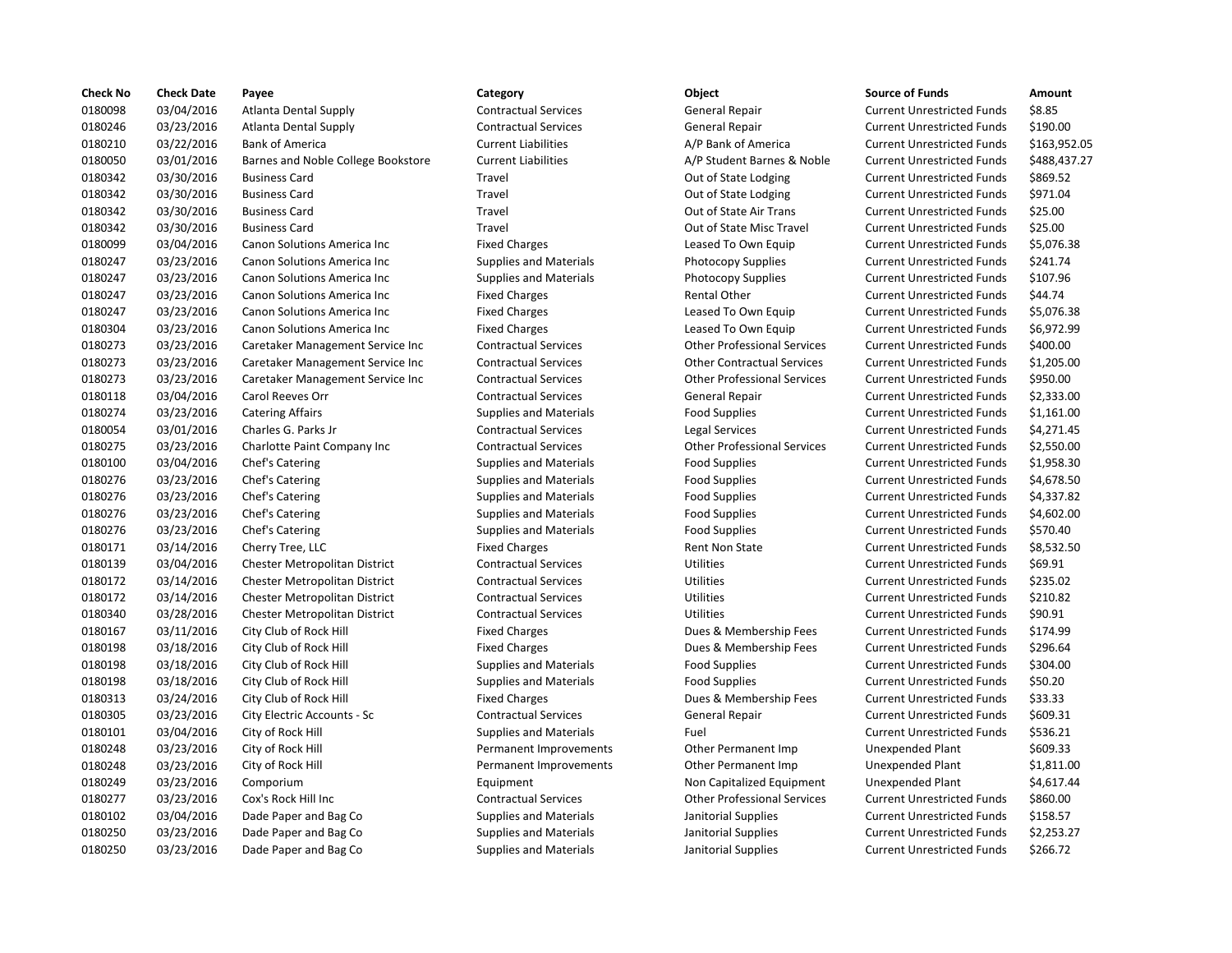| <b>Check No</b> | <b>Check Date</b> | Payee                                | Category                      | <b>Object</b>                      | <b>Source of Funds</b>            | Amount    |
|-----------------|-------------------|--------------------------------------|-------------------------------|------------------------------------|-----------------------------------|-----------|
| 0180098         | 03/04/2016        | <b>Atlanta Dental Supply</b>         | <b>Contractual Services</b>   | General Repair                     | <b>Current Unrestricted Funds</b> | \$8.85    |
| 0180246         | 03/23/2016        | <b>Atlanta Dental Supply</b>         | <b>Contractual Services</b>   | <b>General Repair</b>              | <b>Current Unrestricted Funds</b> | \$190.00  |
| 0180210         | 03/22/2016        | <b>Bank of America</b>               | <b>Current Liabilities</b>    | A/P Bank of America                | <b>Current Unrestricted Funds</b> | \$163,95  |
| 0180050         | 03/01/2016        | Barnes and Noble College Bookstore   | <b>Current Liabilities</b>    | A/P Student Barnes & Noble         | <b>Current Unrestricted Funds</b> | \$488,43  |
| 0180342         | 03/30/2016        | <b>Business Card</b>                 | Travel                        | Out of State Lodging               | <b>Current Unrestricted Funds</b> | \$869.52  |
| 0180342         | 03/30/2016        | <b>Business Card</b>                 | Travel                        | Out of State Lodging               | <b>Current Unrestricted Funds</b> | \$971.04  |
| 0180342         | 03/30/2016        | <b>Business Card</b>                 | Travel                        | Out of State Air Trans             | <b>Current Unrestricted Funds</b> | \$25.00   |
| 0180342         | 03/30/2016        | <b>Business Card</b>                 | Travel                        | Out of State Misc Travel           | <b>Current Unrestricted Funds</b> | \$25.00   |
| 0180099         | 03/04/2016        | Canon Solutions America Inc          | <b>Fixed Charges</b>          | Leased To Own Equip                | <b>Current Unrestricted Funds</b> | \$5,076.3 |
| 0180247         | 03/23/2016        | Canon Solutions America Inc          | <b>Supplies and Materials</b> | <b>Photocopy Supplies</b>          | <b>Current Unrestricted Funds</b> | \$241.74  |
| 0180247         | 03/23/2016        | Canon Solutions America Inc          | <b>Supplies and Materials</b> | Photocopy Supplies                 | <b>Current Unrestricted Funds</b> | \$107.96  |
| 0180247         | 03/23/2016        | Canon Solutions America Inc          | <b>Fixed Charges</b>          | <b>Rental Other</b>                | <b>Current Unrestricted Funds</b> | \$44.74   |
| 0180247         | 03/23/2016        | <b>Canon Solutions America Inc.</b>  | <b>Fixed Charges</b>          | Leased To Own Equip                | <b>Current Unrestricted Funds</b> | \$5,076.3 |
| 0180304         | 03/23/2016        | Canon Solutions America Inc          | <b>Fixed Charges</b>          | Leased To Own Equip                | <b>Current Unrestricted Funds</b> | \$6,972.9 |
| 0180273         | 03/23/2016        | Caretaker Management Service Inc     | <b>Contractual Services</b>   | <b>Other Professional Services</b> | <b>Current Unrestricted Funds</b> | \$400.00  |
| 0180273         | 03/23/2016        | Caretaker Management Service Inc     | <b>Contractual Services</b>   | <b>Other Contractual Services</b>  | <b>Current Unrestricted Funds</b> | \$1,205.0 |
| 0180273         | 03/23/2016        | Caretaker Management Service Inc     | <b>Contractual Services</b>   | <b>Other Professional Services</b> | <b>Current Unrestricted Funds</b> | \$950.00  |
| 0180118         | 03/04/2016        | Carol Reeves Orr                     | <b>Contractual Services</b>   | General Repair                     | <b>Current Unrestricted Funds</b> | \$2,333.0 |
| 0180274         | 03/23/2016        | <b>Catering Affairs</b>              | <b>Supplies and Materials</b> | <b>Food Supplies</b>               | <b>Current Unrestricted Funds</b> | \$1,161.0 |
| 0180054         | 03/01/2016        | Charles G. Parks Jr                  | <b>Contractual Services</b>   | <b>Legal Services</b>              | <b>Current Unrestricted Funds</b> | \$4,271.4 |
| 0180275         | 03/23/2016        | Charlotte Paint Company Inc          | <b>Contractual Services</b>   | <b>Other Professional Services</b> | <b>Current Unrestricted Funds</b> | \$2,550.0 |
| 0180100         | 03/04/2016        | Chef's Catering                      | <b>Supplies and Materials</b> | <b>Food Supplies</b>               | <b>Current Unrestricted Funds</b> | \$1,958.3 |
| 0180276         | 03/23/2016        | Chef's Catering                      | <b>Supplies and Materials</b> | <b>Food Supplies</b>               | <b>Current Unrestricted Funds</b> | \$4,678.5 |
| 0180276         | 03/23/2016        | Chef's Catering                      | <b>Supplies and Materials</b> | <b>Food Supplies</b>               | <b>Current Unrestricted Funds</b> | \$4,337.8 |
| 0180276         | 03/23/2016        | Chef's Catering                      | <b>Supplies and Materials</b> | <b>Food Supplies</b>               | <b>Current Unrestricted Funds</b> | \$4,602.0 |
| 0180276         | 03/23/2016        | Chef's Catering                      | <b>Supplies and Materials</b> | <b>Food Supplies</b>               | <b>Current Unrestricted Funds</b> | \$570.40  |
| 0180171         | 03/14/2016        | Cherry Tree, LLC                     | <b>Fixed Charges</b>          | <b>Rent Non State</b>              | <b>Current Unrestricted Funds</b> | \$8,532.5 |
| 0180139         | 03/04/2016        | Chester Metropolitan District        | <b>Contractual Services</b>   | Utilities                          | <b>Current Unrestricted Funds</b> | \$69.91   |
| 0180172         | 03/14/2016        | <b>Chester Metropolitan District</b> | <b>Contractual Services</b>   | Utilities                          | <b>Current Unrestricted Funds</b> | \$235.02  |
| 0180172         | 03/14/2016        | <b>Chester Metropolitan District</b> | <b>Contractual Services</b>   | <b>Utilities</b>                   | <b>Current Unrestricted Funds</b> | \$210.82  |
| 0180340         | 03/28/2016        | <b>Chester Metropolitan District</b> | <b>Contractual Services</b>   | Utilities                          | <b>Current Unrestricted Funds</b> | \$90.91   |
| 0180167         | 03/11/2016        | City Club of Rock Hill               | <b>Fixed Charges</b>          | Dues & Membership Fees             | <b>Current Unrestricted Funds</b> | \$174.99  |
| 0180198         | 03/18/2016        | City Club of Rock Hill               | <b>Fixed Charges</b>          | Dues & Membership Fees             | <b>Current Unrestricted Funds</b> | \$296.64  |
| 0180198         | 03/18/2016        | City Club of Rock Hill               | <b>Supplies and Materials</b> | <b>Food Supplies</b>               | <b>Current Unrestricted Funds</b> | \$304.00  |
| 0180198         | 03/18/2016        | City Club of Rock Hill               | <b>Supplies and Materials</b> | <b>Food Supplies</b>               | <b>Current Unrestricted Funds</b> | \$50.20   |
| 0180313         | 03/24/2016        | City Club of Rock Hill               | <b>Fixed Charges</b>          | Dues & Membership Fees             | <b>Current Unrestricted Funds</b> | \$33.33   |
| 0180305         | 03/23/2016        | City Electric Accounts - Sc          | <b>Contractual Services</b>   | <b>General Repair</b>              | <b>Current Unrestricted Funds</b> | \$609.31  |
| 0180101         | 03/04/2016        | City of Rock Hill                    | <b>Supplies and Materials</b> | Fuel                               | <b>Current Unrestricted Funds</b> | \$536.21  |
| 0180248         | 03/23/2016        | City of Rock Hill                    | Permanent Improvements        | Other Permanent Imp                | <b>Unexpended Plant</b>           | \$609.33  |
| 0180248         | 03/23/2016        | City of Rock Hill                    | Permanent Improvements        | Other Permanent Imp                | <b>Unexpended Plant</b>           | \$1,811.0 |
| 0180249         | 03/23/2016        | Comporium                            | Equipment                     | Non Capitalized Equipment          | Unexpended Plant                  | \$4,617.4 |
| 0180277         | 03/23/2016        | Cox's Rock Hill Inc                  | <b>Contractual Services</b>   | <b>Other Professional Services</b> | <b>Current Unrestricted Funds</b> | \$860.00  |
| 0180102         | 03/04/2016        | Dade Paper and Bag Co                | <b>Supplies and Materials</b> | Janitorial Supplies                | <b>Current Unrestricted Funds</b> | \$158.57  |
| 0180250         | 03/23/2016        | Dade Paper and Bag Co                | <b>Supplies and Materials</b> | Janitorial Supplies                | <b>Current Unrestricted Funds</b> | \$2,253.2 |
| 0180250         | 03/23/2016        | Dade Paper and Bag Co                | <b>Supplies and Materials</b> | Janitorial Supplies                | <b>Current Unrestricted Funds</b> | \$266.72  |
|                 |                   |                                      |                               |                                    |                                   |           |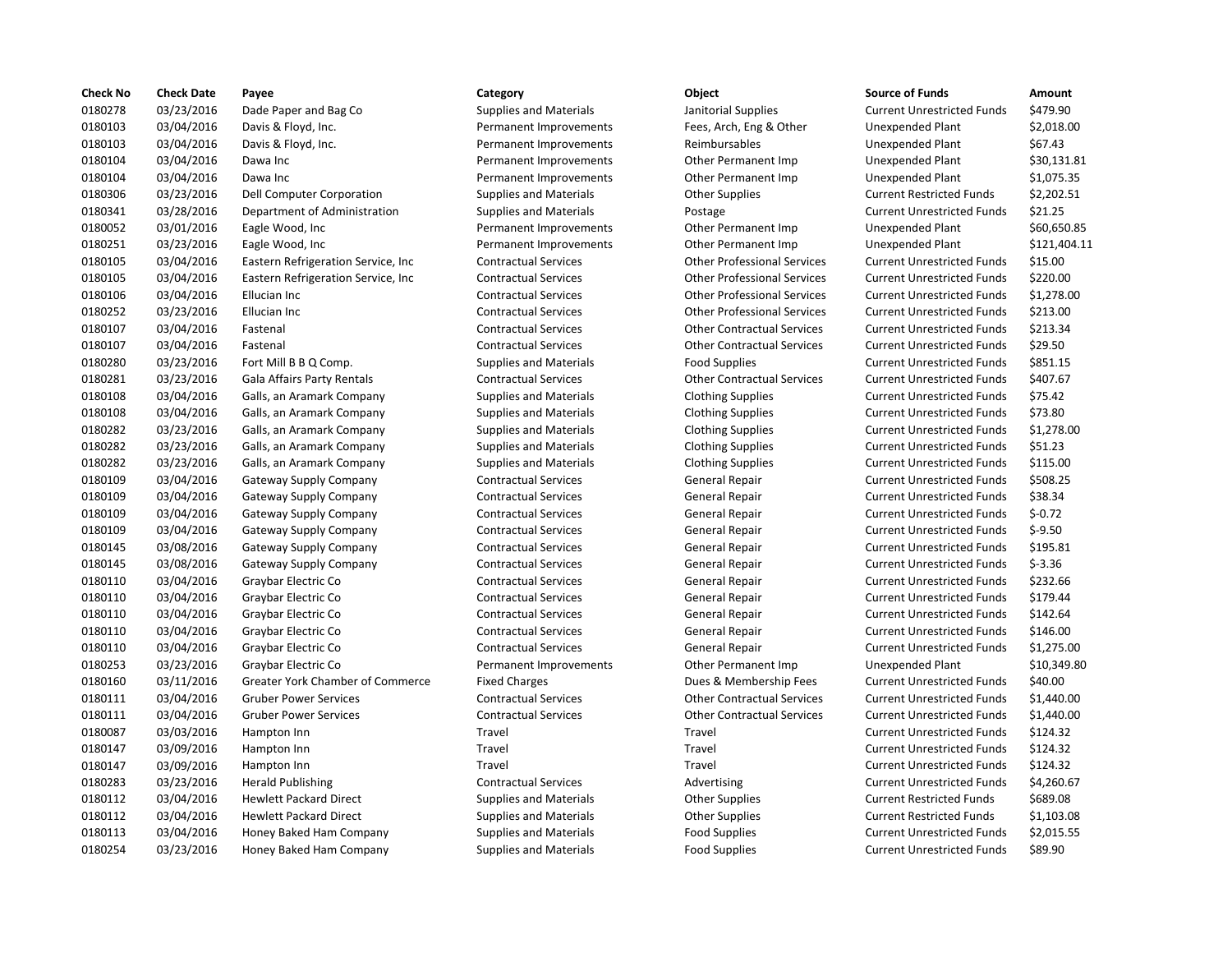| <b>Check No</b> | <b>Check Date</b> | Payee                               | Category                      | Object                             | <b>Source of Funds</b>            | Amount    |
|-----------------|-------------------|-------------------------------------|-------------------------------|------------------------------------|-----------------------------------|-----------|
| 0180278         | 03/23/2016        | Dade Paper and Bag Co               | <b>Supplies and Materials</b> | Janitorial Supplies                | <b>Current Unrestricted Funds</b> | \$479.90  |
| 0180103         | 03/04/2016        | Davis & Floyd, Inc.                 | Permanent Improvements        | Fees, Arch, Eng & Other            | Unexpended Plant                  | \$2,018.0 |
| 0180103         | 03/04/2016        | Davis & Floyd, Inc.                 | Permanent Improvements        | Reimbursables                      | Unexpended Plant                  | \$67.43   |
| 0180104         | 03/04/2016        | Dawa Inc                            | Permanent Improvements        | Other Permanent Imp                | Unexpended Plant                  | \$30,131  |
| 0180104         | 03/04/2016        | Dawa Inc                            | Permanent Improvements        | Other Permanent Imp                | <b>Unexpended Plant</b>           | \$1,075.3 |
| 0180306         | 03/23/2016        | Dell Computer Corporation           | <b>Supplies and Materials</b> | <b>Other Supplies</b>              | <b>Current Restricted Funds</b>   | \$2,202.5 |
| 0180341         | 03/28/2016        | Department of Administration        | <b>Supplies and Materials</b> | Postage                            | <b>Current Unrestricted Funds</b> | \$21.25   |
| 0180052         | 03/01/2016        | Eagle Wood, Inc                     | Permanent Improvements        | Other Permanent Imp                | Unexpended Plant                  | \$60,650  |
| 0180251         | 03/23/2016        | Eagle Wood, Inc                     | Permanent Improvements        | Other Permanent Imp                | <b>Unexpended Plant</b>           | \$121,40  |
| 0180105         | 03/04/2016        | Eastern Refrigeration Service, Inc. | <b>Contractual Services</b>   | <b>Other Professional Services</b> | <b>Current Unrestricted Funds</b> | \$15.00   |
| 0180105         | 03/04/2016        | Eastern Refrigeration Service, Inc  | <b>Contractual Services</b>   | <b>Other Professional Services</b> | <b>Current Unrestricted Funds</b> | \$220.00  |
| 0180106         | 03/04/2016        | Ellucian Inc                        | <b>Contractual Services</b>   | <b>Other Professional Services</b> | <b>Current Unrestricted Funds</b> | \$1,278.0 |
| 0180252         | 03/23/2016        | Ellucian Inc                        | <b>Contractual Services</b>   | <b>Other Professional Services</b> | <b>Current Unrestricted Funds</b> | \$213.00  |
| 0180107         | 03/04/2016        | Fastenal                            | <b>Contractual Services</b>   | <b>Other Contractual Services</b>  | <b>Current Unrestricted Funds</b> | \$213.34  |
| 0180107         | 03/04/2016        | Fastenal                            | <b>Contractual Services</b>   | <b>Other Contractual Services</b>  | <b>Current Unrestricted Funds</b> | \$29.50   |
| 0180280         | 03/23/2016        | Fort Mill B B Q Comp.               | <b>Supplies and Materials</b> | <b>Food Supplies</b>               | <b>Current Unrestricted Funds</b> | \$851.15  |
| 0180281         | 03/23/2016        | Gala Affairs Party Rentals          | <b>Contractual Services</b>   | <b>Other Contractual Services</b>  | <b>Current Unrestricted Funds</b> | \$407.67  |
| 0180108         | 03/04/2016        | Galls, an Aramark Company           | <b>Supplies and Materials</b> | <b>Clothing Supplies</b>           | <b>Current Unrestricted Funds</b> | \$75.42   |
| 0180108         | 03/04/2016        | Galls, an Aramark Company           | <b>Supplies and Materials</b> | <b>Clothing Supplies</b>           | <b>Current Unrestricted Funds</b> | \$73.80   |
| 0180282         | 03/23/2016        | Galls, an Aramark Company           | <b>Supplies and Materials</b> | <b>Clothing Supplies</b>           | <b>Current Unrestricted Funds</b> | \$1,278.0 |
| 0180282         | 03/23/2016        | Galls, an Aramark Company           | <b>Supplies and Materials</b> | <b>Clothing Supplies</b>           | <b>Current Unrestricted Funds</b> | \$51.23   |
| 0180282         | 03/23/2016        | Galls, an Aramark Company           | <b>Supplies and Materials</b> | <b>Clothing Supplies</b>           | <b>Current Unrestricted Funds</b> | \$115.00  |
| 0180109         | 03/04/2016        | Gateway Supply Company              | <b>Contractual Services</b>   | General Repair                     | <b>Current Unrestricted Funds</b> | \$508.25  |
| 0180109         | 03/04/2016        | Gateway Supply Company              | <b>Contractual Services</b>   | General Repair                     | <b>Current Unrestricted Funds</b> | \$38.34   |
| 0180109         | 03/04/2016        | Gateway Supply Company              | <b>Contractual Services</b>   | General Repair                     | <b>Current Unrestricted Funds</b> | $$-0.72$  |
| 0180109         | 03/04/2016        | <b>Gateway Supply Company</b>       | <b>Contractual Services</b>   | General Repair                     | <b>Current Unrestricted Funds</b> | $$-9.50$  |
| 0180145         | 03/08/2016        | Gateway Supply Company              | <b>Contractual Services</b>   | <b>General Repair</b>              | <b>Current Unrestricted Funds</b> | \$195.81  |
| 0180145         | 03/08/2016        | Gateway Supply Company              | <b>Contractual Services</b>   | General Repair                     | <b>Current Unrestricted Funds</b> | $$-3.36$  |
| 0180110         | 03/04/2016        | Graybar Electric Co                 | <b>Contractual Services</b>   | General Repair                     | <b>Current Unrestricted Funds</b> | \$232.66  |
| 0180110         | 03/04/2016        | Graybar Electric Co                 | <b>Contractual Services</b>   | General Repair                     | <b>Current Unrestricted Funds</b> | \$179.44  |
| 0180110         | 03/04/2016        | Graybar Electric Co                 | <b>Contractual Services</b>   | General Repair                     | <b>Current Unrestricted Funds</b> | \$142.64  |
| 0180110         | 03/04/2016        | Graybar Electric Co                 | <b>Contractual Services</b>   | <b>General Repair</b>              | <b>Current Unrestricted Funds</b> | \$146.00  |
| 0180110         | 03/04/2016        | Graybar Electric Co                 | <b>Contractual Services</b>   | General Repair                     | <b>Current Unrestricted Funds</b> | \$1,275.0 |
| 0180253         | 03/23/2016        | Graybar Electric Co                 | Permanent Improvements        | Other Permanent Imp                | <b>Unexpended Plant</b>           | \$10,349  |
| 0180160         | 03/11/2016        | Greater York Chamber of Commerce    | <b>Fixed Charges</b>          | Dues & Membership Fees             | <b>Current Unrestricted Funds</b> | \$40.00   |
| 0180111         | 03/04/2016        | <b>Gruber Power Services</b>        | <b>Contractual Services</b>   | <b>Other Contractual Services</b>  | <b>Current Unrestricted Funds</b> | \$1,440.0 |
| 0180111         | 03/04/2016        | <b>Gruber Power Services</b>        | <b>Contractual Services</b>   | <b>Other Contractual Services</b>  | <b>Current Unrestricted Funds</b> | \$1,440.0 |
| 0180087         | 03/03/2016        | Hampton Inn                         | Travel                        | Travel                             | <b>Current Unrestricted Funds</b> | \$124.32  |
| 0180147         | 03/09/2016        | Hampton Inn                         | Travel                        | Travel                             | <b>Current Unrestricted Funds</b> | \$124.32  |
| 0180147         | 03/09/2016        | Hampton Inn                         | Travel                        | Travel                             | <b>Current Unrestricted Funds</b> | \$124.32  |
| 0180283         | 03/23/2016        | <b>Herald Publishing</b>            | <b>Contractual Services</b>   | Advertising                        | <b>Current Unrestricted Funds</b> | \$4,260.6 |
| 0180112         | 03/04/2016        | <b>Hewlett Packard Direct</b>       | <b>Supplies and Materials</b> | <b>Other Supplies</b>              | <b>Current Restricted Funds</b>   | \$689.08  |
| 0180112         | 03/04/2016        | <b>Hewlett Packard Direct</b>       | <b>Supplies and Materials</b> | <b>Other Supplies</b>              | <b>Current Restricted Funds</b>   | \$1,103.0 |
| 0180113         | 03/04/2016        | Honey Baked Ham Company             | <b>Supplies and Materials</b> | <b>Food Supplies</b>               | <b>Current Unrestricted Funds</b> | \$2,015.5 |
| 0180254         | 03/23/2016        | Honey Baked Ham Company             | <b>Supplies and Materials</b> | <b>Food Supplies</b>               | <b>Current Unrestricted Funds</b> | \$89.90   |
|                 |                   |                                     |                               |                                    |                                   |           |

# 03/23/2016 Dade Paper and Bag Co Supplies and Materials Janitorial Supplies Current Unrestricted Funds \$479.90 Permanent Improvements Fees, Arch, Eng & Other Unexpended Plant \$2,018.00 Permanent Improvements Reimbursables Unexpended Plant \$67.43 Permanent Improvements **Other Permanent Imp** Unexpended Plant \$30,131.81 Permanent Improvements **Other Permanent Imp** Unexpended Plant \$1,075.35 Supplies and Materials **Delice Computer Computer Contract Contract** Current Restricted Funds \$2,202.51 03/28/2016 Department of Administration Supplies and Materials Postage Current Unrestricted Funds \$21.25 Permanent Improvements **Other Permanent Imp** Unexpended Plant \$60,650.85 Permanent Improvements **Other Permanent Imp** Unexpended Plant \$121,404.11 03/04/2016 Eastern Refrigeration Service, Inc Contractual Services Other Professional Services Current Unrestricted Funds \$15.00 Contractual Services **12021** Other Professional Services Current Unrestricted Funds \$220.00 03/04/2016 Ellucian Inc Contractual Services Other Professional Services Current Unrestricted Funds \$1,278.00 03/23/2016 Ellucian Inc Contractual Services Other Professional Services Current Unrestricted Funds \$213.00 03/04/2016 Fastenal Contractual Services Other Contractual Services Current Unrestricted Funds \$213.34 03/04/2016 Fastenal Contractual Services Other Contractual Services Current Unrestricted Funds \$29.50 03/23/2016 Fort Mill B B Q Comp. Supplies and Materials Food Supplies Current Unrestricted Funds \$851.15 03/23/2016 Gala Affairs Party Rentals Contractual Services Other Contractual Services Current Unrestricted Funds \$407.67 Supplies and Materials **Clothing Supplies** Current Unrestricted Funds \$75.42 03/04/2016 Galls, an Aramark Company Supplies and Materials Clothing Supplies Current Unrestricted Funds \$73.80 03/23/2016 Galls, an Aramark Company Supplies and Materials Clothing Supplies Current Unrestricted Funds \$1,278.00 03/23/2016 Galls, an Aramark Company Supplies and Materials Clothing Supplies Current Unrestricted Funds \$51.23 03/23/2016 Galls, an Aramark Company Supplies and Materials Clothing Supplies Current Unrestricted Funds \$115.00 03/04/2016 Gateway Supply Company Contractual Services General Repair Current Unrestricted Funds \$508.25 03/04/2016 Gateway Supply Company Contractual Services General Repair Current Unrestricted Funds \$38.34 03/04/2016 Gateway Supply Company Contractual Services General Repair Current Unrestricted Funds \$-0.72 03/04/2016 Gateway Supply Company Contractual Services General Repair Current Unrestricted Funds \$-9.50 03/08/2016 Gateway Supply Company Contractual Services General Repair Current Unrestricted Funds \$195.81 03/08/2016 Gateway Supply Company Contractual Services General Repair Current Unrestricted Funds \$-3.36 Contractual Services **Contractual Contractual Services** General Repair Current Unrestricted Funds \$232.66 03/04/2016 Graybar Electric Co Contractual Services General Repair Current Unrestricted Funds \$179.44 Contractual Services **General Repair** General Repair Current Unrestricted Funds \$142.64 03/04/2016 Graybar Electric Co Contractual Services General Repair Current Unrestricted Funds \$146.00 Ontractual Services **General Repair** Current Unrestricted Funds \$1,275.00 Permanent Improvements **Canadiate Communist Communist Control** Connection Dunexpended Plant \$10,349.80 Fixed Charges **Chamber of Chamber of Commerce Engles** Current Unrestricted Funds \$40.00 03/04/2016 Gruber Power Services Contractual Services Other Contractual Services Current Unrestricted Funds \$1,440.00 03/04/2016 Gruber Power Services Contractual Services Other Contractual Services Current Unrestricted Funds \$1,440.00 03/03/2016 Hampton Inn Travel Travel Current Unrestricted Funds \$124.32 03/09/2016 Hampton Inn Travel Travel Current Unrestricted Funds \$124.32 03/09/2016 Hampton Inn Travel Travel Current Unrestricted Funds \$124.32 03/23/2016 Herald Publishing Contractual Services Advertising Current Unrestricted Funds \$4,260.67 Supplies and Materials **Supplies** Current Restricted Funds 5689.08 Supplies and Materials **Current Contract Packard Direct Supplies** Current Restricted Funds \$1,103.08 03/04/2016 Honey Baked Ham Company Supplies and Materials Food Supplies Current Unrestricted Funds \$2,015.55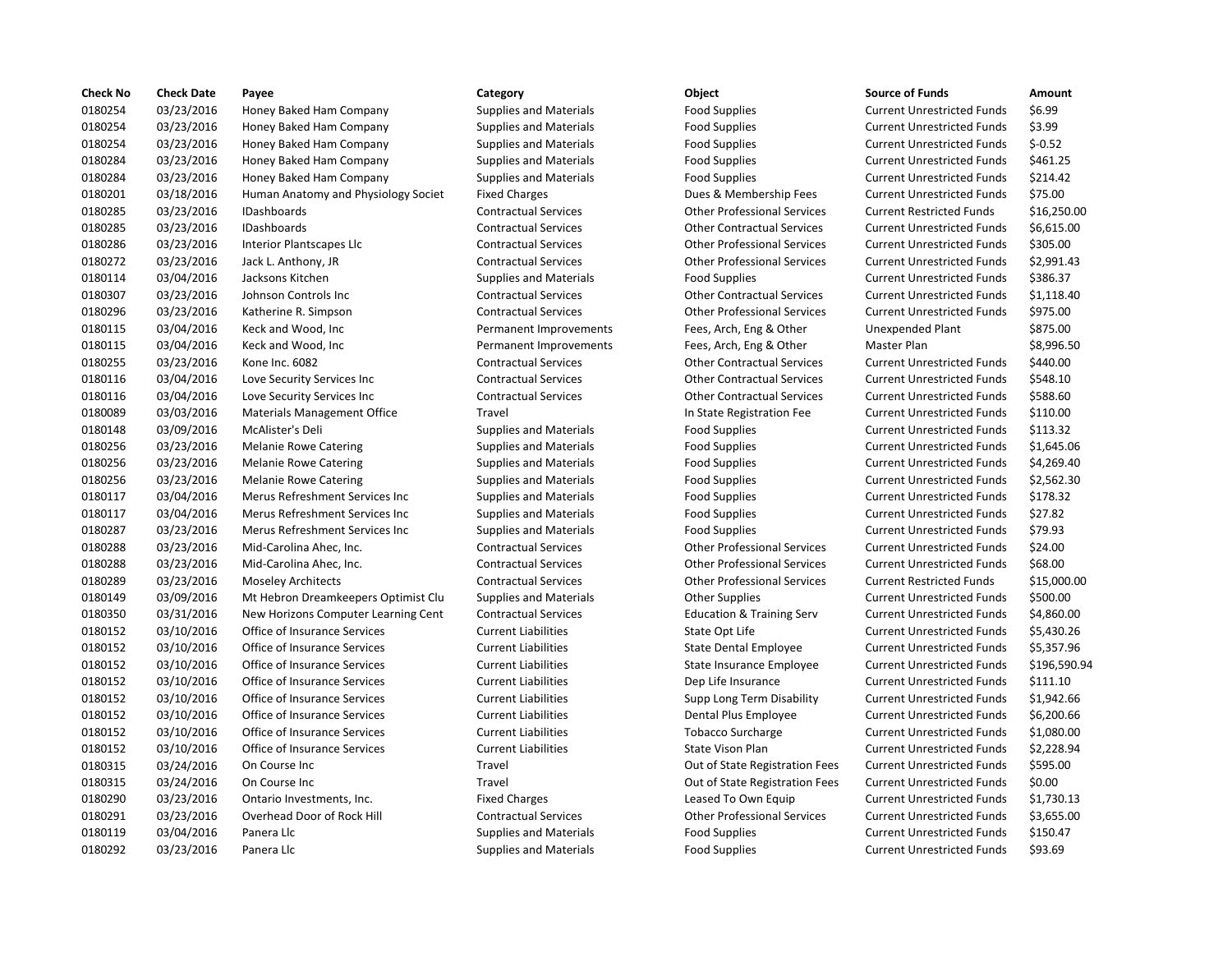| <b>Check No</b> | <b>Check Date</b> | Payee                               | Category                      | Object                               | <b>Source of Funds</b>            | Amount    |
|-----------------|-------------------|-------------------------------------|-------------------------------|--------------------------------------|-----------------------------------|-----------|
| 0180254         | 03/23/2016        | Honey Baked Ham Company             | <b>Supplies and Materials</b> | <b>Food Supplies</b>                 | <b>Current Unrestricted Funds</b> | \$6.99    |
| 0180254         | 03/23/2016        | Honey Baked Ham Company             | <b>Supplies and Materials</b> | <b>Food Supplies</b>                 | <b>Current Unrestricted Funds</b> | \$3.99    |
| 0180254         | 03/23/2016        | Honey Baked Ham Company             | <b>Supplies and Materials</b> | <b>Food Supplies</b>                 | <b>Current Unrestricted Funds</b> | $$-0.52$  |
| 0180284         | 03/23/2016        | Honey Baked Ham Company             | <b>Supplies and Materials</b> | <b>Food Supplies</b>                 | <b>Current Unrestricted Funds</b> | \$461.25  |
| 0180284         | 03/23/2016        | Honey Baked Ham Company             | <b>Supplies and Materials</b> | <b>Food Supplies</b>                 | <b>Current Unrestricted Funds</b> | \$214.42  |
| 0180201         | 03/18/2016        | Human Anatomy and Physiology Societ | <b>Fixed Charges</b>          | Dues & Membership Fees               | <b>Current Unrestricted Funds</b> | \$75.00   |
| 0180285         | 03/23/2016        | <b>IDashboards</b>                  | <b>Contractual Services</b>   | <b>Other Professional Services</b>   | <b>Current Restricted Funds</b>   | \$16,250  |
| 0180285         | 03/23/2016        | IDashboards                         | <b>Contractual Services</b>   | <b>Other Contractual Services</b>    | <b>Current Unrestricted Funds</b> | \$6,615.0 |
| 0180286         | 03/23/2016        | Interior Plantscapes Llc            | <b>Contractual Services</b>   | <b>Other Professional Services</b>   | <b>Current Unrestricted Funds</b> | \$305.00  |
| 0180272         | 03/23/2016        | Jack L. Anthony, JR                 | <b>Contractual Services</b>   | <b>Other Professional Services</b>   | <b>Current Unrestricted Funds</b> | \$2,991.4 |
| 0180114         | 03/04/2016        | Jacksons Kitchen                    | <b>Supplies and Materials</b> | <b>Food Supplies</b>                 | <b>Current Unrestricted Funds</b> | \$386.37  |
| 0180307         | 03/23/2016        | Johnson Controls Inc                | <b>Contractual Services</b>   | <b>Other Contractual Services</b>    | <b>Current Unrestricted Funds</b> | \$1,118.4 |
| 0180296         | 03/23/2016        | Katherine R. Simpson                | <b>Contractual Services</b>   | <b>Other Professional Services</b>   | <b>Current Unrestricted Funds</b> | \$975.00  |
| 0180115         | 03/04/2016        | Keck and Wood, Inc.                 | Permanent Improvements        | Fees, Arch, Eng & Other              | Unexpended Plant                  | \$875.00  |
| 0180115         | 03/04/2016        | Keck and Wood, Inc                  | Permanent Improvements        | Fees, Arch, Eng & Other              | Master Plan                       | \$8,996.5 |
| 0180255         | 03/23/2016        | Kone Inc. 6082                      | <b>Contractual Services</b>   | <b>Other Contractual Services</b>    | <b>Current Unrestricted Funds</b> | \$440.00  |
| 0180116         | 03/04/2016        | Love Security Services Inc          | <b>Contractual Services</b>   | <b>Other Contractual Services</b>    | <b>Current Unrestricted Funds</b> | \$548.10  |
| 0180116         | 03/04/2016        | Love Security Services Inc          | <b>Contractual Services</b>   | <b>Other Contractual Services</b>    | <b>Current Unrestricted Funds</b> | \$588.60  |
| 0180089         | 03/03/2016        | <b>Materials Management Office</b>  | Travel                        | In State Registration Fee            | <b>Current Unrestricted Funds</b> | \$110.00  |
| 0180148         | 03/09/2016        | McAlister's Deli                    | <b>Supplies and Materials</b> | <b>Food Supplies</b>                 | <b>Current Unrestricted Funds</b> | \$113.32  |
| 0180256         | 03/23/2016        | <b>Melanie Rowe Catering</b>        | <b>Supplies and Materials</b> | <b>Food Supplies</b>                 | <b>Current Unrestricted Funds</b> | \$1,645.0 |
| 0180256         | 03/23/2016        | <b>Melanie Rowe Catering</b>        | <b>Supplies and Materials</b> | <b>Food Supplies</b>                 | <b>Current Unrestricted Funds</b> | \$4,269.4 |
| 0180256         | 03/23/2016        | <b>Melanie Rowe Catering</b>        | <b>Supplies and Materials</b> | <b>Food Supplies</b>                 | <b>Current Unrestricted Funds</b> | \$2,562.3 |
| 0180117         | 03/04/2016        | Merus Refreshment Services Inc      | <b>Supplies and Materials</b> | <b>Food Supplies</b>                 | <b>Current Unrestricted Funds</b> | \$178.32  |
| 0180117         | 03/04/2016        | Merus Refreshment Services Inc      | <b>Supplies and Materials</b> | <b>Food Supplies</b>                 | <b>Current Unrestricted Funds</b> | \$27.82   |
| 0180287         | 03/23/2016        | Merus Refreshment Services Inc      | <b>Supplies and Materials</b> | <b>Food Supplies</b>                 | <b>Current Unrestricted Funds</b> | \$79.93   |
| 0180288         | 03/23/2016        | Mid-Carolina Ahec, Inc.             | <b>Contractual Services</b>   | <b>Other Professional Services</b>   | <b>Current Unrestricted Funds</b> | \$24.00   |
| 0180288         | 03/23/2016        | Mid-Carolina Ahec, Inc.             | <b>Contractual Services</b>   | <b>Other Professional Services</b>   | <b>Current Unrestricted Funds</b> | \$68.00   |
| 0180289         | 03/23/2016        | <b>Moseley Architects</b>           | <b>Contractual Services</b>   | <b>Other Professional Services</b>   | <b>Current Restricted Funds</b>   | \$15,000  |
| 0180149         | 03/09/2016        | Mt Hebron Dreamkeepers Optimist Clu | <b>Supplies and Materials</b> | <b>Other Supplies</b>                | <b>Current Unrestricted Funds</b> | \$500.00  |
| 0180350         | 03/31/2016        | New Horizons Computer Learning Cent | <b>Contractual Services</b>   | <b>Education &amp; Training Serv</b> | <b>Current Unrestricted Funds</b> | \$4,860.0 |
| 0180152         | 03/10/2016        | Office of Insurance Services        | <b>Current Liabilities</b>    | State Opt Life                       | <b>Current Unrestricted Funds</b> | \$5,430.2 |
| 0180152         | 03/10/2016        | Office of Insurance Services        | <b>Current Liabilities</b>    | <b>State Dental Employee</b>         | <b>Current Unrestricted Funds</b> | \$5,357.9 |
| 0180152         | 03/10/2016        | Office of Insurance Services        | <b>Current Liabilities</b>    | State Insurance Employee             | <b>Current Unrestricted Funds</b> | \$196,59  |
| 0180152         | 03/10/2016        | Office of Insurance Services        | <b>Current Liabilities</b>    | Dep Life Insurance                   | <b>Current Unrestricted Funds</b> | \$111.10  |
| 0180152         | 03/10/2016        | Office of Insurance Services        | <b>Current Liabilities</b>    | Supp Long Term Disability            | <b>Current Unrestricted Funds</b> | \$1,942.6 |
| 0180152         | 03/10/2016        | Office of Insurance Services        | <b>Current Liabilities</b>    | Dental Plus Employee                 | <b>Current Unrestricted Funds</b> | \$6,200.6 |
| 0180152         | 03/10/2016        | Office of Insurance Services        | <b>Current Liabilities</b>    | <b>Tobacco Surcharge</b>             | <b>Current Unrestricted Funds</b> | \$1,080.0 |
| 0180152         | 03/10/2016        | Office of Insurance Services        | <b>Current Liabilities</b>    | <b>State Vison Plan</b>              | <b>Current Unrestricted Funds</b> | \$2,228.9 |
| 0180315         | 03/24/2016        | On Course Inc                       | Travel                        | Out of State Registration Fees       | <b>Current Unrestricted Funds</b> | \$595.00  |
| 0180315         | 03/24/2016        | On Course Inc                       | Travel                        | Out of State Registration Fees       | <b>Current Unrestricted Funds</b> | \$0.00    |
| 0180290         | 03/23/2016        | Ontario Investments, Inc.           | <b>Fixed Charges</b>          | Leased To Own Equip                  | <b>Current Unrestricted Funds</b> | \$1,730.1 |
| 0180291         | 03/23/2016        | Overhead Door of Rock Hill          | <b>Contractual Services</b>   | <b>Other Professional Services</b>   | <b>Current Unrestricted Funds</b> | \$3,655.0 |
| 0180119         | 03/04/2016        | Panera Llc                          | <b>Supplies and Materials</b> | <b>Food Supplies</b>                 | <b>Current Unrestricted Funds</b> | \$150.47  |
| 0180292         | 03/23/2016        | Panera Llc                          | <b>Supplies and Materials</b> | <b>Food Supplies</b>                 | <b>Current Unrestricted Funds</b> | \$93.69   |
|                 |                   |                                     |                               |                                      |                                   |           |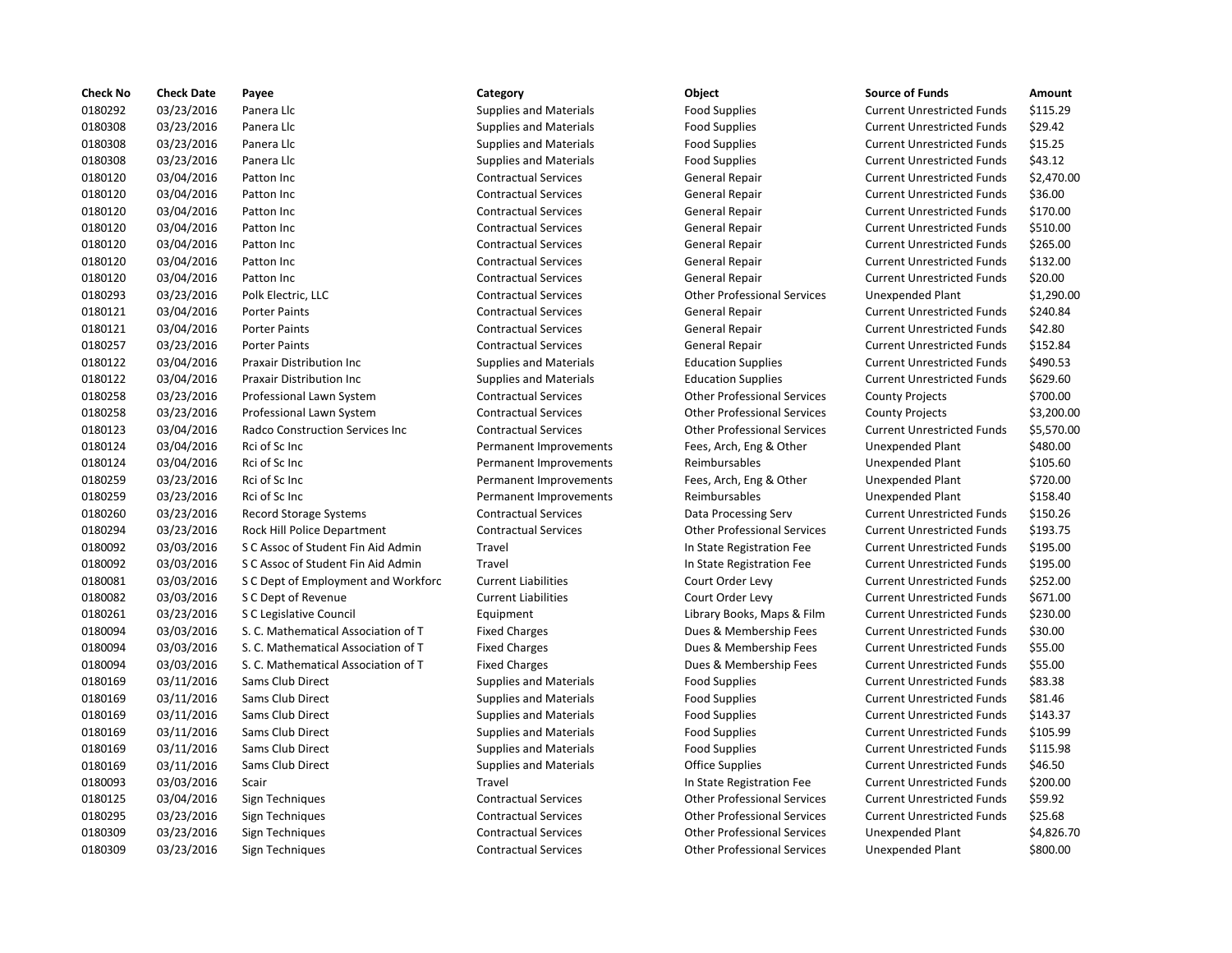| <b>Check No</b> | <b>Check Date</b> | Payee                               | Category                      | Object                             | <b>Source of Funds</b>            | Amount    |
|-----------------|-------------------|-------------------------------------|-------------------------------|------------------------------------|-----------------------------------|-----------|
| 0180292         | 03/23/2016        | Panera Llc                          | <b>Supplies and Materials</b> | <b>Food Supplies</b>               | <b>Current Unrestricted Funds</b> | \$115.29  |
| 0180308         | 03/23/2016        | Panera Llc                          | <b>Supplies and Materials</b> | <b>Food Supplies</b>               | <b>Current Unrestricted Funds</b> | \$29.42   |
| 0180308         | 03/23/2016        | Panera Llc                          | <b>Supplies and Materials</b> | <b>Food Supplies</b>               | <b>Current Unrestricted Funds</b> | \$15.25   |
| 0180308         | 03/23/2016        | Panera Llc                          | <b>Supplies and Materials</b> | <b>Food Supplies</b>               | <b>Current Unrestricted Funds</b> | \$43.12   |
| 0180120         | 03/04/2016        | Patton Inc                          | <b>Contractual Services</b>   | General Repair                     | <b>Current Unrestricted Funds</b> | \$2,470.0 |
| 0180120         | 03/04/2016        | Patton Inc                          | <b>Contractual Services</b>   | General Repair                     | <b>Current Unrestricted Funds</b> | \$36.00   |
| 0180120         | 03/04/2016        | Patton Inc                          | <b>Contractual Services</b>   | <b>General Repair</b>              | <b>Current Unrestricted Funds</b> | \$170.00  |
| 0180120         | 03/04/2016        | Patton Inc                          | <b>Contractual Services</b>   | General Repair                     | <b>Current Unrestricted Funds</b> | \$510.00  |
| 0180120         | 03/04/2016        | Patton Inc                          | <b>Contractual Services</b>   | General Repair                     | <b>Current Unrestricted Funds</b> | \$265.00  |
| 0180120         | 03/04/2016        | Patton Inc                          | <b>Contractual Services</b>   | General Repair                     | <b>Current Unrestricted Funds</b> | \$132.00  |
| 0180120         | 03/04/2016        | Patton Inc                          | <b>Contractual Services</b>   | <b>General Repair</b>              | <b>Current Unrestricted Funds</b> | \$20.00   |
| 0180293         | 03/23/2016        | Polk Electric, LLC                  | <b>Contractual Services</b>   | <b>Other Professional Services</b> | Unexpended Plant                  | \$1,290.0 |
| 0180121         | 03/04/2016        | <b>Porter Paints</b>                | <b>Contractual Services</b>   | General Repair                     | <b>Current Unrestricted Funds</b> | \$240.84  |
| 0180121         | 03/04/2016        | <b>Porter Paints</b>                | <b>Contractual Services</b>   | <b>General Repair</b>              | <b>Current Unrestricted Funds</b> | \$42.80   |
| 0180257         | 03/23/2016        | <b>Porter Paints</b>                | <b>Contractual Services</b>   | General Repair                     | <b>Current Unrestricted Funds</b> | \$152.84  |
| 0180122         | 03/04/2016        | Praxair Distribution Inc            | <b>Supplies and Materials</b> | <b>Education Supplies</b>          | <b>Current Unrestricted Funds</b> | \$490.53  |
| 0180122         | 03/04/2016        | Praxair Distribution Inc            | <b>Supplies and Materials</b> | <b>Education Supplies</b>          | <b>Current Unrestricted Funds</b> | \$629.60  |
| 0180258         | 03/23/2016        | Professional Lawn System            | <b>Contractual Services</b>   | <b>Other Professional Services</b> | <b>County Projects</b>            | \$700.00  |
| 0180258         | 03/23/2016        | Professional Lawn System            | <b>Contractual Services</b>   | <b>Other Professional Services</b> | <b>County Projects</b>            | \$3,200.0 |
| 0180123         | 03/04/2016        | Radco Construction Services Inc     | <b>Contractual Services</b>   | <b>Other Professional Services</b> | <b>Current Unrestricted Funds</b> | \$5,570.0 |
| 0180124         | 03/04/2016        | Rci of Sc Inc                       | Permanent Improvements        | Fees, Arch, Eng & Other            | <b>Unexpended Plant</b>           | \$480.00  |
| 0180124         | 03/04/2016        | Rci of Sc Inc                       | Permanent Improvements        | Reimbursables                      | <b>Unexpended Plant</b>           | \$105.60  |
| 0180259         | 03/23/2016        | Rci of Sc Inc                       | Permanent Improvements        | Fees, Arch, Eng & Other            | Unexpended Plant                  | \$720.00  |
| 0180259         | 03/23/2016        | Rci of Sc Inc                       | Permanent Improvements        | Reimbursables                      | Unexpended Plant                  | \$158.40  |
| 0180260         | 03/23/2016        | <b>Record Storage Systems</b>       | <b>Contractual Services</b>   | Data Processing Serv               | <b>Current Unrestricted Funds</b> | \$150.26  |
| 0180294         | 03/23/2016        | Rock Hill Police Department         | <b>Contractual Services</b>   | <b>Other Professional Services</b> | <b>Current Unrestricted Funds</b> | \$193.75  |
| 0180092         | 03/03/2016        | S C Assoc of Student Fin Aid Admin  | Travel                        | In State Registration Fee          | <b>Current Unrestricted Funds</b> | \$195.00  |
| 0180092         | 03/03/2016        | S C Assoc of Student Fin Aid Admin  | Travel                        | In State Registration Fee          | <b>Current Unrestricted Funds</b> | \$195.00  |
| 0180081         | 03/03/2016        | S C Dept of Employment and Workforc | <b>Current Liabilities</b>    | Court Order Levy                   | <b>Current Unrestricted Funds</b> | \$252.00  |
| 0180082         | 03/03/2016        | S C Dept of Revenue                 | <b>Current Liabilities</b>    | Court Order Levy                   | <b>Current Unrestricted Funds</b> | \$671.00  |
| 0180261         | 03/23/2016        | S C Legislative Council             | Equipment                     | Library Books, Maps & Film         | <b>Current Unrestricted Funds</b> | \$230.00  |
| 0180094         | 03/03/2016        | S. C. Mathematical Association of T | <b>Fixed Charges</b>          | Dues & Membership Fees             | <b>Current Unrestricted Funds</b> | \$30.00   |
| 0180094         | 03/03/2016        | S. C. Mathematical Association of T | <b>Fixed Charges</b>          | Dues & Membership Fees             | <b>Current Unrestricted Funds</b> | \$55.00   |
| 0180094         | 03/03/2016        | S. C. Mathematical Association of T | <b>Fixed Charges</b>          | Dues & Membership Fees             | <b>Current Unrestricted Funds</b> | \$55.00   |
| 0180169         | 03/11/2016        | Sams Club Direct                    | <b>Supplies and Materials</b> | <b>Food Supplies</b>               | <b>Current Unrestricted Funds</b> | \$83.38   |
| 0180169         | 03/11/2016        | Sams Club Direct                    | <b>Supplies and Materials</b> | <b>Food Supplies</b>               | <b>Current Unrestricted Funds</b> | \$81.46   |
| 0180169         | 03/11/2016        | Sams Club Direct                    | <b>Supplies and Materials</b> | <b>Food Supplies</b>               | <b>Current Unrestricted Funds</b> | \$143.37  |
| 0180169         | 03/11/2016        | Sams Club Direct                    | <b>Supplies and Materials</b> | <b>Food Supplies</b>               | <b>Current Unrestricted Funds</b> | \$105.99  |
| 0180169         | 03/11/2016        | Sams Club Direct                    | <b>Supplies and Materials</b> | <b>Food Supplies</b>               | <b>Current Unrestricted Funds</b> | \$115.98  |
| 0180169         | 03/11/2016        | Sams Club Direct                    | <b>Supplies and Materials</b> | <b>Office Supplies</b>             | <b>Current Unrestricted Funds</b> | \$46.50   |
| 0180093         | 03/03/2016        | Scair                               | Travel                        | In State Registration Fee          | <b>Current Unrestricted Funds</b> | \$200.00  |
| 0180125         | 03/04/2016        | Sign Techniques                     | <b>Contractual Services</b>   | <b>Other Professional Services</b> | <b>Current Unrestricted Funds</b> | \$59.92   |
| 0180295         | 03/23/2016        | Sign Techniques                     | <b>Contractual Services</b>   | <b>Other Professional Services</b> | <b>Current Unrestricted Funds</b> | \$25.68   |
| 0180309         | 03/23/2016        | Sign Techniques                     | <b>Contractual Services</b>   | <b>Other Professional Services</b> | Unexpended Plant                  | \$4,826.7 |
| 0180309         | 03/23/2016        | Sign Techniques                     | <b>Contractual Services</b>   | <b>Other Professional Services</b> | Unexpended Plant                  | \$800.00  |
|                 |                   |                                     |                               |                                    |                                   |           |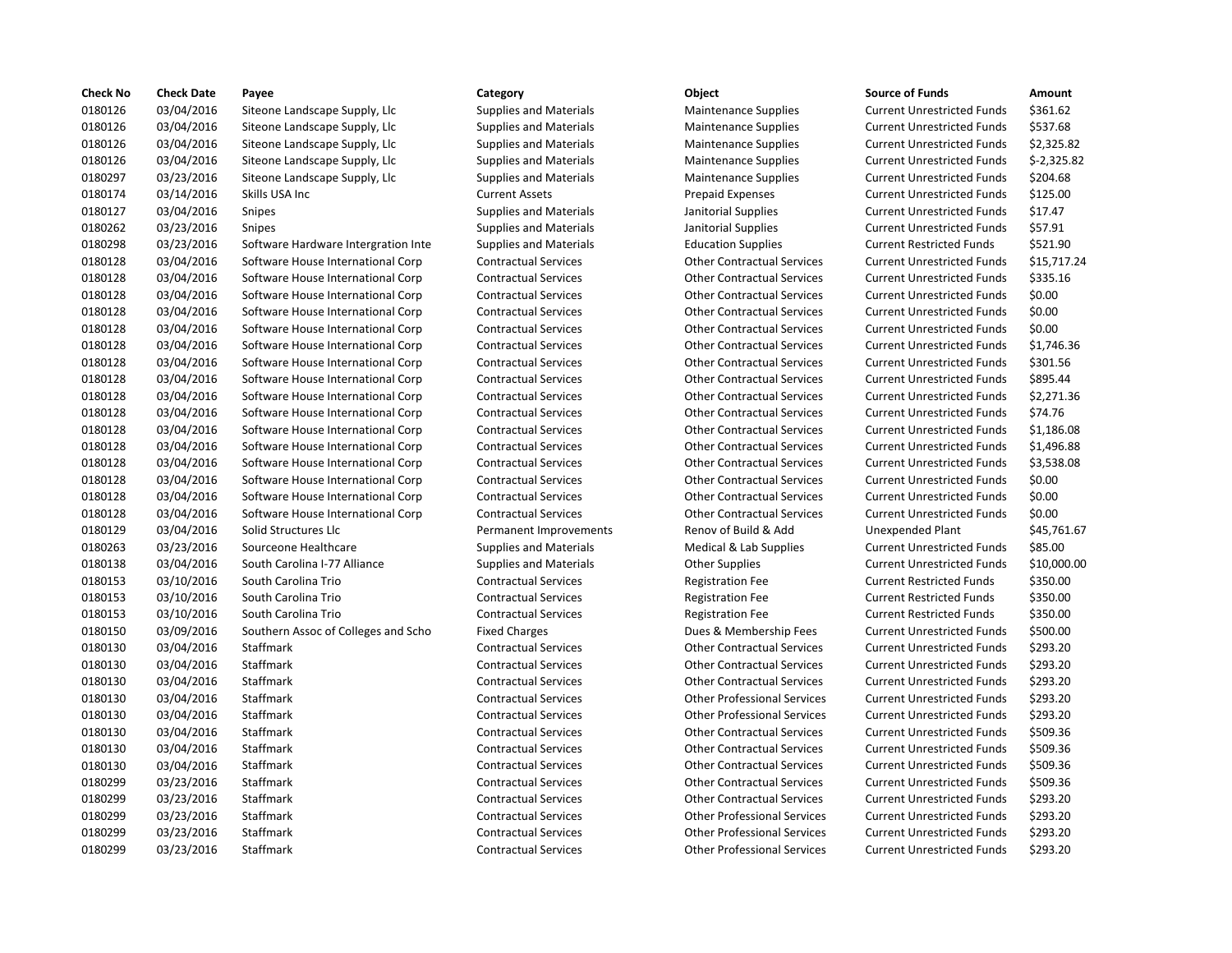| <b>Check No</b> | <b>Check Date</b> | Payee                               | Category                      | Object                             | <b>Source of Funds</b>            | Amount     |
|-----------------|-------------------|-------------------------------------|-------------------------------|------------------------------------|-----------------------------------|------------|
| 0180126         | 03/04/2016        | Siteone Landscape Supply, Llc       | <b>Supplies and Materials</b> | <b>Maintenance Supplies</b>        | <b>Current Unrestricted Funds</b> | \$361.62   |
| 0180126         | 03/04/2016        | Siteone Landscape Supply, Llc       | <b>Supplies and Materials</b> | <b>Maintenance Supplies</b>        | <b>Current Unrestricted Funds</b> | \$537.68   |
| 0180126         | 03/04/2016        | Siteone Landscape Supply, Llc       | <b>Supplies and Materials</b> | <b>Maintenance Supplies</b>        | <b>Current Unrestricted Funds</b> | \$2,325.8  |
| 0180126         | 03/04/2016        | Siteone Landscape Supply, Llc       | <b>Supplies and Materials</b> | <b>Maintenance Supplies</b>        | <b>Current Unrestricted Funds</b> | $$-2,325.$ |
| 0180297         | 03/23/2016        | Siteone Landscape Supply, Llc       | <b>Supplies and Materials</b> | <b>Maintenance Supplies</b>        | <b>Current Unrestricted Funds</b> | \$204.68   |
| 0180174         | 03/14/2016        | Skills USA Inc                      | <b>Current Assets</b>         | <b>Prepaid Expenses</b>            | <b>Current Unrestricted Funds</b> | \$125.00   |
| 0180127         | 03/04/2016        | <b>Snipes</b>                       | <b>Supplies and Materials</b> | Janitorial Supplies                | <b>Current Unrestricted Funds</b> | \$17.47    |
| 0180262         | 03/23/2016        | <b>Snipes</b>                       | <b>Supplies and Materials</b> | Janitorial Supplies                | <b>Current Unrestricted Funds</b> | \$57.91    |
| 0180298         | 03/23/2016        | Software Hardware Intergration Inte | <b>Supplies and Materials</b> | <b>Education Supplies</b>          | <b>Current Restricted Funds</b>   | \$521.90   |
| 0180128         | 03/04/2016        | Software House International Corp   | <b>Contractual Services</b>   | <b>Other Contractual Services</b>  | <b>Current Unrestricted Funds</b> | \$15,717   |
| 0180128         | 03/04/2016        | Software House International Corp   | <b>Contractual Services</b>   | <b>Other Contractual Services</b>  | <b>Current Unrestricted Funds</b> | \$335.16   |
| 0180128         | 03/04/2016        | Software House International Corp   | <b>Contractual Services</b>   | <b>Other Contractual Services</b>  | <b>Current Unrestricted Funds</b> | \$0.00     |
| 0180128         | 03/04/2016        | Software House International Corp   | <b>Contractual Services</b>   | <b>Other Contractual Services</b>  | <b>Current Unrestricted Funds</b> | \$0.00     |
| 0180128         | 03/04/2016        | Software House International Corp   | <b>Contractual Services</b>   | <b>Other Contractual Services</b>  | <b>Current Unrestricted Funds</b> | \$0.00     |
| 0180128         | 03/04/2016        | Software House International Corp   | <b>Contractual Services</b>   | <b>Other Contractual Services</b>  | <b>Current Unrestricted Funds</b> | \$1,746.3  |
| 0180128         | 03/04/2016        | Software House International Corp   | <b>Contractual Services</b>   | <b>Other Contractual Services</b>  | <b>Current Unrestricted Funds</b> | \$301.56   |
| 0180128         | 03/04/2016        | Software House International Corp   | <b>Contractual Services</b>   | <b>Other Contractual Services</b>  | <b>Current Unrestricted Funds</b> | \$895.44   |
| 0180128         | 03/04/2016        | Software House International Corp   | <b>Contractual Services</b>   | <b>Other Contractual Services</b>  | <b>Current Unrestricted Funds</b> | \$2,271.3  |
| 0180128         | 03/04/2016        | Software House International Corp   | <b>Contractual Services</b>   | <b>Other Contractual Services</b>  | <b>Current Unrestricted Funds</b> | \$74.76    |
| 0180128         | 03/04/2016        | Software House International Corp   | <b>Contractual Services</b>   | <b>Other Contractual Services</b>  | <b>Current Unrestricted Funds</b> | \$1,186.0  |
| 0180128         | 03/04/2016        | Software House International Corp   | <b>Contractual Services</b>   | <b>Other Contractual Services</b>  | <b>Current Unrestricted Funds</b> | \$1,496.8  |
| 0180128         | 03/04/2016        | Software House International Corp   | <b>Contractual Services</b>   | <b>Other Contractual Services</b>  | <b>Current Unrestricted Funds</b> | \$3,538.0  |
| 0180128         | 03/04/2016        | Software House International Corp   | <b>Contractual Services</b>   | <b>Other Contractual Services</b>  | <b>Current Unrestricted Funds</b> | \$0.00     |
| 0180128         | 03/04/2016        | Software House International Corp   | <b>Contractual Services</b>   | <b>Other Contractual Services</b>  | <b>Current Unrestricted Funds</b> | \$0.00     |
| 0180128         | 03/04/2016        | Software House International Corp   | <b>Contractual Services</b>   | <b>Other Contractual Services</b>  | <b>Current Unrestricted Funds</b> | \$0.00     |
| 0180129         | 03/04/2016        | Solid Structures Llc                | Permanent Improvements        | Renov of Build & Add               | <b>Unexpended Plant</b>           | \$45,761   |
| 0180263         | 03/23/2016        | Sourceone Healthcare                | <b>Supplies and Materials</b> | Medical & Lab Supplies             | <b>Current Unrestricted Funds</b> | \$85.00    |
| 0180138         | 03/04/2016        | South Carolina I-77 Alliance        | <b>Supplies and Materials</b> | <b>Other Supplies</b>              | <b>Current Unrestricted Funds</b> | \$10,000   |
| 0180153         | 03/10/2016        | South Carolina Trio                 | <b>Contractual Services</b>   | <b>Registration Fee</b>            | <b>Current Restricted Funds</b>   | \$350.00   |
| 0180153         | 03/10/2016        | South Carolina Trio                 | <b>Contractual Services</b>   | <b>Registration Fee</b>            | <b>Current Restricted Funds</b>   | \$350.00   |
| 0180153         | 03/10/2016        | South Carolina Trio                 | <b>Contractual Services</b>   | <b>Registration Fee</b>            | <b>Current Restricted Funds</b>   | \$350.00   |
| 0180150         | 03/09/2016        | Southern Assoc of Colleges and Scho | <b>Fixed Charges</b>          | Dues & Membership Fees             | <b>Current Unrestricted Funds</b> | \$500.00   |
| 0180130         | 03/04/2016        | Staffmark                           | <b>Contractual Services</b>   | <b>Other Contractual Services</b>  | <b>Current Unrestricted Funds</b> | \$293.20   |
| 0180130         | 03/04/2016        | <b>Staffmark</b>                    | <b>Contractual Services</b>   | <b>Other Contractual Services</b>  | <b>Current Unrestricted Funds</b> | \$293.20   |
| 0180130         | 03/04/2016        | Staffmark                           | <b>Contractual Services</b>   | <b>Other Contractual Services</b>  | <b>Current Unrestricted Funds</b> | \$293.20   |
| 0180130         | 03/04/2016        | <b>Staffmark</b>                    | <b>Contractual Services</b>   | <b>Other Professional Services</b> | <b>Current Unrestricted Funds</b> | \$293.20   |
| 0180130         | 03/04/2016        | Staffmark                           | <b>Contractual Services</b>   | <b>Other Professional Services</b> | <b>Current Unrestricted Funds</b> | \$293.20   |
| 0180130         | 03/04/2016        | Staffmark                           | <b>Contractual Services</b>   | <b>Other Contractual Services</b>  | <b>Current Unrestricted Funds</b> | \$509.36   |
| 0180130         | 03/04/2016        | Staffmark                           | <b>Contractual Services</b>   | <b>Other Contractual Services</b>  | <b>Current Unrestricted Funds</b> | \$509.36   |
| 0180130         | 03/04/2016        | Staffmark                           | <b>Contractual Services</b>   | <b>Other Contractual Services</b>  | <b>Current Unrestricted Funds</b> | \$509.36   |
| 0180299         | 03/23/2016        | Staffmark                           | <b>Contractual Services</b>   | <b>Other Contractual Services</b>  | <b>Current Unrestricted Funds</b> | \$509.36   |
| 0180299         | 03/23/2016        | <b>Staffmark</b>                    | <b>Contractual Services</b>   | <b>Other Contractual Services</b>  | <b>Current Unrestricted Funds</b> | \$293.20   |
| 0180299         | 03/23/2016        | Staffmark                           | <b>Contractual Services</b>   | <b>Other Professional Services</b> | <b>Current Unrestricted Funds</b> | \$293.20   |
| 0180299         | 03/23/2016        | Staffmark                           | <b>Contractual Services</b>   | <b>Other Professional Services</b> | <b>Current Unrestricted Funds</b> | \$293.20   |
| 0180299         | 03/23/2016        | Staffmark                           | <b>Contractual Services</b>   | <b>Other Professional Services</b> | <b>Current Unrestricted Funds</b> | \$293.20   |
|                 |                   |                                     |                               |                                    |                                   |            |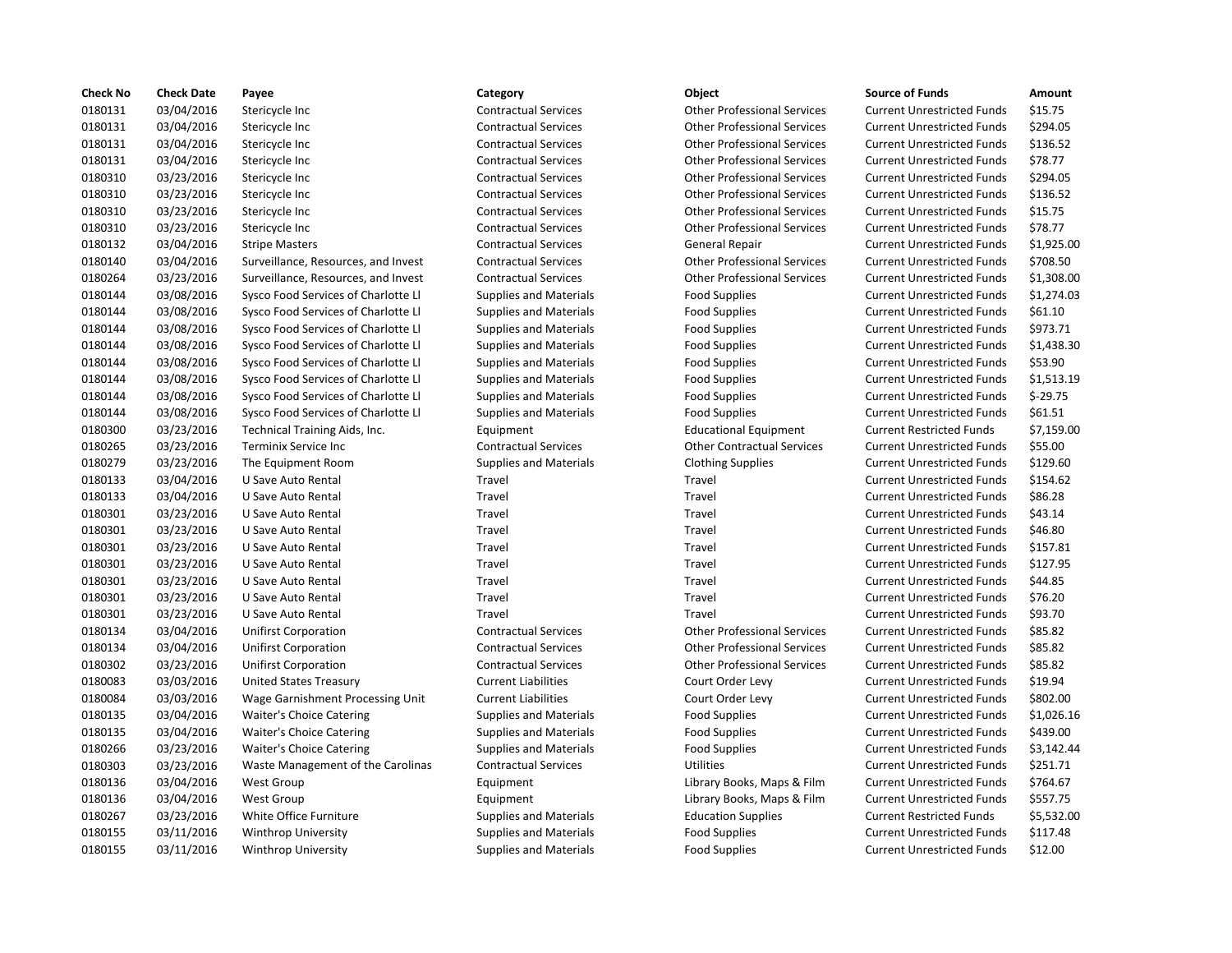| <b>Check No</b> | <b>Check Date</b> | Payee                               | Category                      | Object                             | <b>Source of Funds</b>            | Amount    |
|-----------------|-------------------|-------------------------------------|-------------------------------|------------------------------------|-----------------------------------|-----------|
| 0180131         | 03/04/2016        | Stericycle Inc                      | <b>Contractual Services</b>   | <b>Other Professional Services</b> | <b>Current Unrestricted Funds</b> | \$15.75   |
| 0180131         | 03/04/2016        | Stericycle Inc                      | <b>Contractual Services</b>   | <b>Other Professional Services</b> | <b>Current Unrestricted Funds</b> | \$294.05  |
| 0180131         | 03/04/2016        | Stericycle Inc                      | <b>Contractual Services</b>   | <b>Other Professional Services</b> | <b>Current Unrestricted Funds</b> | \$136.52  |
| 0180131         | 03/04/2016        | Stericycle Inc                      | <b>Contractual Services</b>   | <b>Other Professional Services</b> | <b>Current Unrestricted Funds</b> | \$78.77   |
| 0180310         | 03/23/2016        | Stericycle Inc                      | <b>Contractual Services</b>   | <b>Other Professional Services</b> | <b>Current Unrestricted Funds</b> | \$294.05  |
| 0180310         | 03/23/2016        | Stericycle Inc                      | <b>Contractual Services</b>   | <b>Other Professional Services</b> | <b>Current Unrestricted Funds</b> | \$136.52  |
| 0180310         | 03/23/2016        | Stericycle Inc                      | <b>Contractual Services</b>   | <b>Other Professional Services</b> | <b>Current Unrestricted Funds</b> | \$15.75   |
| 0180310         | 03/23/2016        | Stericycle Inc                      | <b>Contractual Services</b>   | <b>Other Professional Services</b> | <b>Current Unrestricted Funds</b> | \$78.77   |
| 0180132         | 03/04/2016        | <b>Stripe Masters</b>               | <b>Contractual Services</b>   | <b>General Repair</b>              | <b>Current Unrestricted Funds</b> | \$1,925.0 |
| 0180140         | 03/04/2016        | Surveillance, Resources, and Invest | <b>Contractual Services</b>   | <b>Other Professional Services</b> | <b>Current Unrestricted Funds</b> | \$708.50  |
| 0180264         | 03/23/2016        | Surveillance, Resources, and Invest | <b>Contractual Services</b>   | <b>Other Professional Services</b> | <b>Current Unrestricted Funds</b> | \$1,308.0 |
| 0180144         | 03/08/2016        | Sysco Food Services of Charlotte Ll | <b>Supplies and Materials</b> | <b>Food Supplies</b>               | <b>Current Unrestricted Funds</b> | \$1,274.0 |
| 0180144         | 03/08/2016        | Sysco Food Services of Charlotte Ll | <b>Supplies and Materials</b> | <b>Food Supplies</b>               | <b>Current Unrestricted Funds</b> | \$61.10   |
| 0180144         | 03/08/2016        | Sysco Food Services of Charlotte Ll | <b>Supplies and Materials</b> | <b>Food Supplies</b>               | <b>Current Unrestricted Funds</b> | \$973.71  |
| 0180144         | 03/08/2016        | Sysco Food Services of Charlotte Ll | <b>Supplies and Materials</b> | <b>Food Supplies</b>               | <b>Current Unrestricted Funds</b> | \$1,438.3 |
| 0180144         | 03/08/2016        | Sysco Food Services of Charlotte Ll | <b>Supplies and Materials</b> | <b>Food Supplies</b>               | <b>Current Unrestricted Funds</b> | \$53.90   |
| 0180144         | 03/08/2016        | Sysco Food Services of Charlotte Ll | <b>Supplies and Materials</b> | <b>Food Supplies</b>               | <b>Current Unrestricted Funds</b> | \$1,513.1 |
| 0180144         | 03/08/2016        | Sysco Food Services of Charlotte Ll | <b>Supplies and Materials</b> | <b>Food Supplies</b>               | <b>Current Unrestricted Funds</b> | $$-29.75$ |
| 0180144         | 03/08/2016        | Sysco Food Services of Charlotte Ll | <b>Supplies and Materials</b> | <b>Food Supplies</b>               | <b>Current Unrestricted Funds</b> | \$61.51   |
| 0180300         | 03/23/2016        | Technical Training Aids, Inc.       | Equipment                     | <b>Educational Equipment</b>       | <b>Current Restricted Funds</b>   | \$7,159.0 |
| 0180265         | 03/23/2016        | Terminix Service Inc                | <b>Contractual Services</b>   | <b>Other Contractual Services</b>  | <b>Current Unrestricted Funds</b> | \$55.00   |
| 0180279         | 03/23/2016        | The Equipment Room                  | <b>Supplies and Materials</b> | <b>Clothing Supplies</b>           | <b>Current Unrestricted Funds</b> | \$129.60  |
| 0180133         | 03/04/2016        | U Save Auto Rental                  | Travel                        | Travel                             | <b>Current Unrestricted Funds</b> | \$154.62  |
| 0180133         | 03/04/2016        | U Save Auto Rental                  | Travel                        | Travel                             | <b>Current Unrestricted Funds</b> | \$86.28   |
| 0180301         | 03/23/2016        | U Save Auto Rental                  | Travel                        | Travel                             | <b>Current Unrestricted Funds</b> | \$43.14   |
| 0180301         | 03/23/2016        | U Save Auto Rental                  | Travel                        | Travel                             | <b>Current Unrestricted Funds</b> | \$46.80   |
| 0180301         | 03/23/2016        | U Save Auto Rental                  | Travel                        | Travel                             | <b>Current Unrestricted Funds</b> | \$157.81  |
| 0180301         | 03/23/2016        | U Save Auto Rental                  | Travel                        | Travel                             | <b>Current Unrestricted Funds</b> | \$127.95  |
| 0180301         | 03/23/2016        | U Save Auto Rental                  | Travel                        | Travel                             | <b>Current Unrestricted Funds</b> | \$44.85   |
| 0180301         | 03/23/2016        | U Save Auto Rental                  | Travel                        | Travel                             | <b>Current Unrestricted Funds</b> | \$76.20   |
| 0180301         | 03/23/2016        | U Save Auto Rental                  | Travel                        | Travel                             | <b>Current Unrestricted Funds</b> | \$93.70   |
| 0180134         | 03/04/2016        | <b>Unifirst Corporation</b>         | <b>Contractual Services</b>   | <b>Other Professional Services</b> | <b>Current Unrestricted Funds</b> | \$85.82   |
| 0180134         | 03/04/2016        | Unifirst Corporation                | <b>Contractual Services</b>   | <b>Other Professional Services</b> | <b>Current Unrestricted Funds</b> | \$85.82   |
| 0180302         | 03/23/2016        | <b>Unifirst Corporation</b>         | <b>Contractual Services</b>   | <b>Other Professional Services</b> | <b>Current Unrestricted Funds</b> | \$85.82   |
| 0180083         | 03/03/2016        | <b>United States Treasury</b>       | <b>Current Liabilities</b>    | Court Order Levy                   | <b>Current Unrestricted Funds</b> | \$19.94   |
| 0180084         | 03/03/2016        | Wage Garnishment Processing Unit    | <b>Current Liabilities</b>    | Court Order Levy                   | <b>Current Unrestricted Funds</b> | \$802.00  |
| 0180135         | 03/04/2016        | <b>Waiter's Choice Catering</b>     | <b>Supplies and Materials</b> | <b>Food Supplies</b>               | <b>Current Unrestricted Funds</b> | \$1,026.1 |
| 0180135         | 03/04/2016        | <b>Waiter's Choice Catering</b>     | <b>Supplies and Materials</b> | <b>Food Supplies</b>               | <b>Current Unrestricted Funds</b> | \$439.00  |
| 0180266         | 03/23/2016        | <b>Waiter's Choice Catering</b>     | <b>Supplies and Materials</b> | <b>Food Supplies</b>               | <b>Current Unrestricted Funds</b> | \$3,142.4 |
| 0180303         | 03/23/2016        | Waste Management of the Carolinas   | <b>Contractual Services</b>   | Utilities                          | <b>Current Unrestricted Funds</b> | \$251.71  |
| 0180136         | 03/04/2016        | West Group                          | Equipment                     | Library Books, Maps & Film         | <b>Current Unrestricted Funds</b> | \$764.67  |
| 0180136         | 03/04/2016        | West Group                          | Equipment                     | Library Books, Maps & Film         | <b>Current Unrestricted Funds</b> | \$557.75  |
| 0180267         | 03/23/2016        | White Office Furniture              | <b>Supplies and Materials</b> | <b>Education Supplies</b>          | <b>Current Restricted Funds</b>   | \$5,532.0 |
| 0180155         | 03/11/2016        | <b>Winthrop University</b>          | <b>Supplies and Materials</b> | <b>Food Supplies</b>               | <b>Current Unrestricted Funds</b> | \$117.48  |
| 0180155         | 03/11/2016        | <b>Winthrop University</b>          | <b>Supplies and Materials</b> | <b>Food Supplies</b>               | <b>Current Unrestricted Funds</b> | \$12.00   |
|                 |                   |                                     |                               |                                    |                                   |           |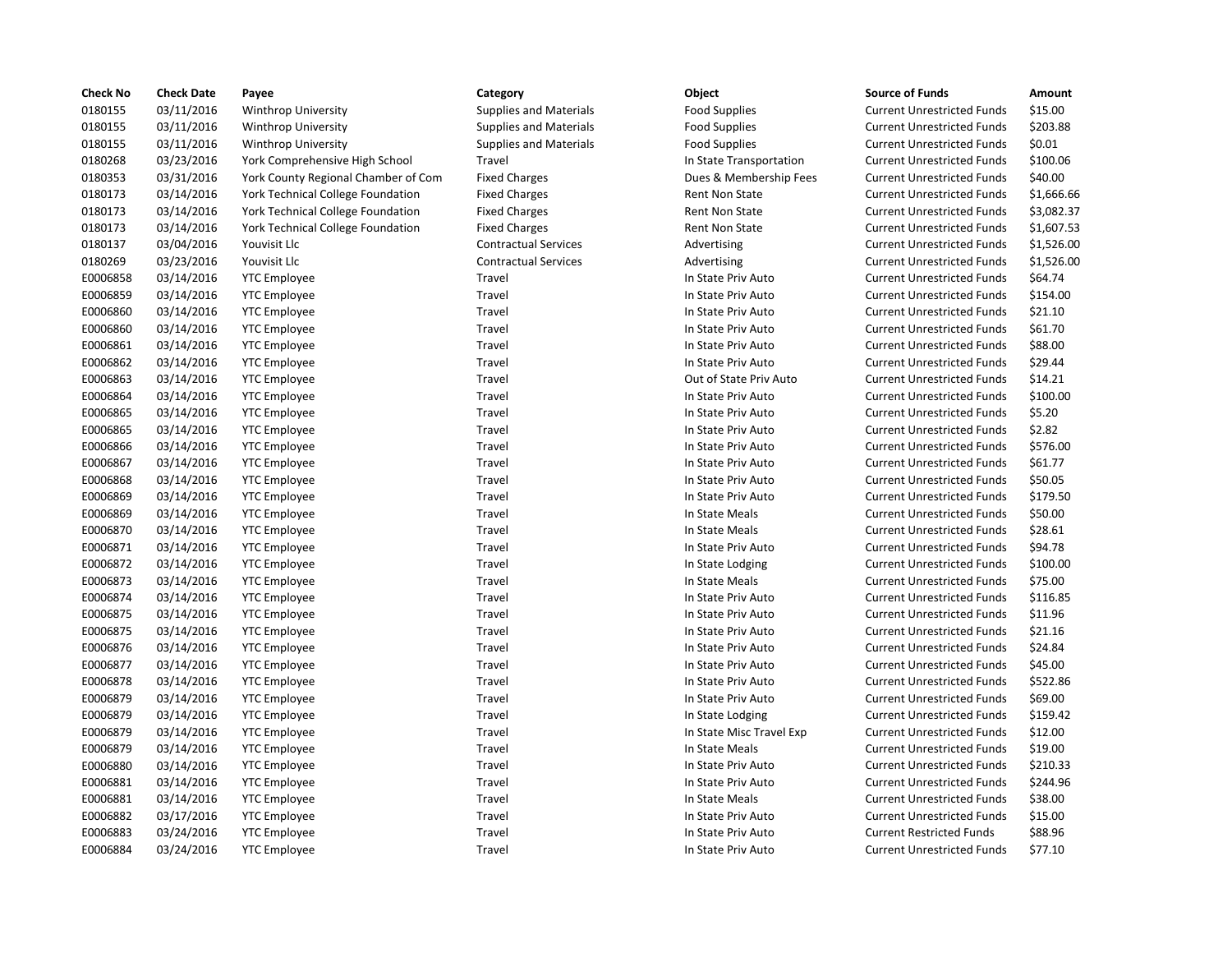| <b>Check No</b> | <b>Check Date</b> | Payee                                    | Category                      | Object                   | <b>Source of Funds</b>            | Amount    |
|-----------------|-------------------|------------------------------------------|-------------------------------|--------------------------|-----------------------------------|-----------|
| 0180155         | 03/11/2016        | <b>Winthrop University</b>               | <b>Supplies and Materials</b> | <b>Food Supplies</b>     | <b>Current Unrestricted Funds</b> | \$15.00   |
| 0180155         | 03/11/2016        | <b>Winthrop University</b>               | <b>Supplies and Materials</b> | <b>Food Supplies</b>     | <b>Current Unrestricted Funds</b> | \$203.88  |
| 0180155         | 03/11/2016        | <b>Winthrop University</b>               | <b>Supplies and Materials</b> | <b>Food Supplies</b>     | <b>Current Unrestricted Funds</b> | \$0.01    |
| 0180268         | 03/23/2016        | York Comprehensive High School           | Travel                        | In State Transportation  | <b>Current Unrestricted Funds</b> | \$100.06  |
| 0180353         | 03/31/2016        | York County Regional Chamber of Com      | <b>Fixed Charges</b>          | Dues & Membership Fees   | <b>Current Unrestricted Funds</b> | \$40.00   |
| 0180173         | 03/14/2016        | York Technical College Foundation        | <b>Fixed Charges</b>          | <b>Rent Non State</b>    | <b>Current Unrestricted Funds</b> | \$1,666.6 |
| 0180173         | 03/14/2016        | York Technical College Foundation        | <b>Fixed Charges</b>          | <b>Rent Non State</b>    | <b>Current Unrestricted Funds</b> | \$3,082.3 |
| 0180173         | 03/14/2016        | <b>York Technical College Foundation</b> | <b>Fixed Charges</b>          | <b>Rent Non State</b>    | <b>Current Unrestricted Funds</b> | \$1,607.5 |
| 0180137         | 03/04/2016        | Youvisit Llc                             | <b>Contractual Services</b>   | Advertising              | <b>Current Unrestricted Funds</b> | \$1,526.0 |
| 0180269         | 03/23/2016        | Youvisit Llc                             | <b>Contractual Services</b>   | Advertising              | <b>Current Unrestricted Funds</b> | \$1,526.0 |
| E0006858        | 03/14/2016        | <b>YTC Employee</b>                      | Travel                        | In State Priv Auto       | <b>Current Unrestricted Funds</b> | \$64.74   |
| E0006859        | 03/14/2016        | <b>YTC Employee</b>                      | Travel                        | In State Priv Auto       | <b>Current Unrestricted Funds</b> | \$154.00  |
| E0006860        | 03/14/2016        | <b>YTC Employee</b>                      | Travel                        | In State Priv Auto       | <b>Current Unrestricted Funds</b> | \$21.10   |
| E0006860        | 03/14/2016        | <b>YTC Employee</b>                      | Travel                        | In State Priv Auto       | <b>Current Unrestricted Funds</b> | \$61.70   |
| E0006861        | 03/14/2016        | <b>YTC Employee</b>                      | Travel                        | In State Priv Auto       | <b>Current Unrestricted Funds</b> | \$88.00   |
| E0006862        | 03/14/2016        | <b>YTC Employee</b>                      | Travel                        | In State Priv Auto       | <b>Current Unrestricted Funds</b> | \$29.44   |
| E0006863        | 03/14/2016        | <b>YTC Employee</b>                      | Travel                        | Out of State Priv Auto   | <b>Current Unrestricted Funds</b> | \$14.21   |
| E0006864        | 03/14/2016        | <b>YTC</b> Employee                      | Travel                        | In State Priv Auto       | <b>Current Unrestricted Funds</b> | \$100.00  |
| E0006865        | 03/14/2016        | <b>YTC</b> Employee                      | Travel                        | In State Priv Auto       | <b>Current Unrestricted Funds</b> | \$5.20    |
| E0006865        | 03/14/2016        | <b>YTC Employee</b>                      | Travel                        | In State Priv Auto       | <b>Current Unrestricted Funds</b> | \$2.82    |
| E0006866        | 03/14/2016        | <b>YTC Employee</b>                      | Travel                        | In State Priv Auto       | <b>Current Unrestricted Funds</b> | \$576.00  |
| E0006867        | 03/14/2016        | <b>YTC</b> Employee                      | Travel                        | In State Priv Auto       | <b>Current Unrestricted Funds</b> | \$61.77   |
| E0006868        | 03/14/2016        | <b>YTC Employee</b>                      | Travel                        | In State Priv Auto       | <b>Current Unrestricted Funds</b> | \$50.05   |
| E0006869        | 03/14/2016        | <b>YTC Employee</b>                      | Travel                        | In State Priv Auto       | <b>Current Unrestricted Funds</b> | \$179.50  |
| E0006869        | 03/14/2016        | <b>YTC Employee</b>                      | Travel                        | In State Meals           | <b>Current Unrestricted Funds</b> | \$50.00   |
| E0006870        | 03/14/2016        | <b>YTC Employee</b>                      | Travel                        | In State Meals           | <b>Current Unrestricted Funds</b> | \$28.61   |
| E0006871        | 03/14/2016        | <b>YTC Employee</b>                      | Travel                        | In State Priv Auto       | <b>Current Unrestricted Funds</b> | \$94.78   |
| E0006872        | 03/14/2016        | <b>YTC Employee</b>                      | Travel                        | In State Lodging         | <b>Current Unrestricted Funds</b> | \$100.00  |
| E0006873        | 03/14/2016        | <b>YTC</b> Employee                      | Travel                        | In State Meals           | <b>Current Unrestricted Funds</b> | \$75.00   |
| E0006874        | 03/14/2016        | <b>YTC Employee</b>                      | Travel                        | In State Priv Auto       | <b>Current Unrestricted Funds</b> | \$116.85  |
| E0006875        | 03/14/2016        | <b>YTC Employee</b>                      | Travel                        | In State Priv Auto       | <b>Current Unrestricted Funds</b> | \$11.96   |
| E0006875        | 03/14/2016        | <b>YTC</b> Employee                      | Travel                        | In State Priv Auto       | <b>Current Unrestricted Funds</b> | \$21.16   |
| E0006876        | 03/14/2016        | <b>YTC Employee</b>                      | Travel                        | In State Priv Auto       | <b>Current Unrestricted Funds</b> | \$24.84   |
| E0006877        | 03/14/2016        | <b>YTC Employee</b>                      | Travel                        | In State Priv Auto       | <b>Current Unrestricted Funds</b> | \$45.00   |
| E0006878        | 03/14/2016        | <b>YTC Employee</b>                      | Travel                        | In State Priv Auto       | <b>Current Unrestricted Funds</b> | \$522.86  |
| E0006879        | 03/14/2016        | <b>YTC Employee</b>                      | Travel                        | In State Priv Auto       | <b>Current Unrestricted Funds</b> | \$69.00   |
| E0006879        | 03/14/2016        | <b>YTC Employee</b>                      | Travel                        | In State Lodging         | <b>Current Unrestricted Funds</b> | \$159.42  |
| E0006879        | 03/14/2016        | <b>YTC Employee</b>                      | Travel                        | In State Misc Travel Exp | <b>Current Unrestricted Funds</b> | \$12.00   |
| E0006879        | 03/14/2016        | <b>YTC Employee</b>                      | Travel                        | In State Meals           | <b>Current Unrestricted Funds</b> | \$19.00   |
| E0006880        | 03/14/2016        | <b>YTC Employee</b>                      | Travel                        | In State Priv Auto       | <b>Current Unrestricted Funds</b> | \$210.33  |
| E0006881        |                   |                                          | Travel                        | In State Priv Auto       | <b>Current Unrestricted Funds</b> | \$244.96  |
|                 | 03/14/2016        | <b>YTC</b> Employee                      |                               |                          |                                   |           |
| E0006881        | 03/14/2016        | <b>YTC Employee</b>                      | Travel                        | In State Meals           | <b>Current Unrestricted Funds</b> | \$38.00   |
| E0006882        | 03/17/2016        | <b>YTC Employee</b>                      | Travel                        | In State Priv Auto       | <b>Current Unrestricted Funds</b> | \$15.00   |
| E0006883        | 03/24/2016        | <b>YTC Employee</b>                      | Travel                        | In State Priv Auto       | <b>Current Restricted Funds</b>   | \$88.96   |
| E0006884        | 03/24/2016        | <b>YTC</b> Employee                      | Travel                        | In State Priv Auto       | <b>Current Unrestricted Funds</b> | \$77.10   |

## lies and Materials **EXECUTE:** Food Supplies **Current Unrestricted Funds** 515.00 0180155 03/11/2016 Winthrop University Supplies and Materials Food Supplies Current Unrestricted Funds \$203.88 lies and Materials **EXALC Wind:** Food Supplies **Current Unrestricted Funds** \$0.01 In State Transportation Current Unrestricted Funds \$100.06 Charges **12016 Chamber County County Construct** Charges Current Unrestricted Funds \$40.00 Oharges **1.666.66** Rent Non State **Foundation Fixed Current Unrestricted Funds** \$1,666.66 Oharges **12016 Rent Non State College Foundation Fixed College Foundation Fixed Current Unrestricted Funds \$3,082.37** Oharges **1.607.53 Rent Non State Current Unrestricted Funds** \$1,607.53 actual Services **1.526.00** Advertising Current Unrestricted Funds 51,526.00 actual Services **2023** 2016 Advertising Current Unrestricted Funds 51,526.00 In State Priv Auto **Current Unrestricted Funds** \$64.74 In State Priv Auto **Current Unrestricted Funds** \$154.00 In State Priv Auto **Current Unrestricted Funds** \$21.10 In State Priv Auto **Current Unrestricted Funds** \$61.70 In State Priv Auto **Current Unrestricted Funds** \$88.00 In State Priv Auto **Current Unrestricted Funds** \$29.44 Out of State Priv Auto **Current Unrestricted Funds** \$14.21 In State Priv Auto **Current Unrestricted Funds** \$100.00 In State Priv Auto **Current Unrestricted Funds** \$5.20 In State Priv Auto **Current Unrestricted Funds** \$2.82 In State Priv Auto **Current Unrestricted Funds** \$576.00 In State Priv Auto **Current Unrestricted Funds** \$61.77 In State Priv Auto **Current Unrestricted Funds** \$50.05 In State Priv Auto **Current Unrestricted Funds** \$179.50 In State Meals **Easy Current Unrestricted Funds** \$50.00 In State Meals Current Unrestricted Funds \$28.61 In State Priv Auto **Current Unrestricted Funds** \$94.78 In State Lodging Current Unrestricted Funds \$100.00 E0006873 03/14/2016 YTC Employee Travel In State Meals Current Unrestricted Funds \$75.00 In State Priv Auto **Current Unrestricted Funds** \$116.85 In State Priv Auto **Current Unrestricted Funds** \$11.96 In State Priv Auto **Current Unrestricted Funds** \$21.16 In State Priv Auto **Current Unrestricted Funds** \$24.84 In State Priv Auto **Current Unrestricted Funds** \$45.00 In State Priv Auto **Current Unrestricted Funds** \$522.86 In State Priv Auto **Current Unrestricted Funds** \$69.00 In State Lodging Current Unrestricted Funds \$159.42 In State Misc Travel Exp Current Unrestricted Funds \$12.00 In State Meals **EXECUTE:** Current Unrestricted Funds \$19.00 In State Priv Auto **Current Unrestricted Funds** \$210.33 In State Priv Auto **Current Unrestricted Funds** \$244.96 In State Meals **EXECUTE:** Current Unrestricted Funds \$38.00 In State Priv Auto **Current Unrestricted Funds** \$15.00 In State Priv Auto **Current Restricted Funds** \$88.96 In State Priv Auto **Current Unrestricted Funds** \$77.10